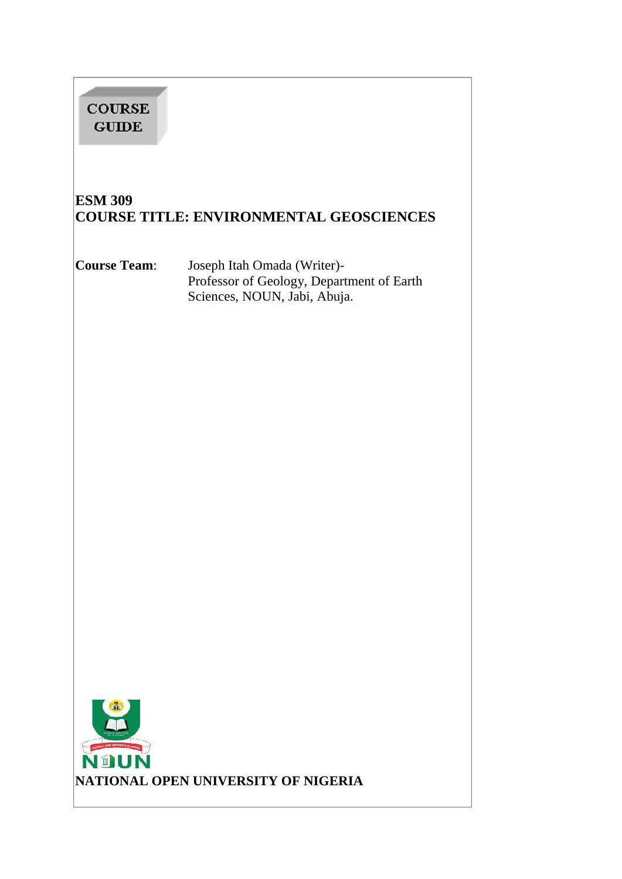| <b>COURSE</b><br><b>GUIDE</b>                                                                                                                                                                                                                |                                                                                                          |  |
|----------------------------------------------------------------------------------------------------------------------------------------------------------------------------------------------------------------------------------------------|----------------------------------------------------------------------------------------------------------|--|
| <b>ESM 309</b>                                                                                                                                                                                                                               | <b>COURSE TITLE: ENVIRONMENTAL GEOSCIENCES</b>                                                           |  |
| Course Team:                                                                                                                                                                                                                                 | Joseph Itah Omada (Writer)-<br>Professor of Geology, Department of Earth<br>Sciences, NOUN, Jabi, Abuja. |  |
| provided and the second results of the second results of the second results of the second results of the second results of the second results of the second results of the second results of the second results of the second<br><b>NOUN</b> | NATIONAL OPEN UNIVERSITY OF NIGERIA                                                                      |  |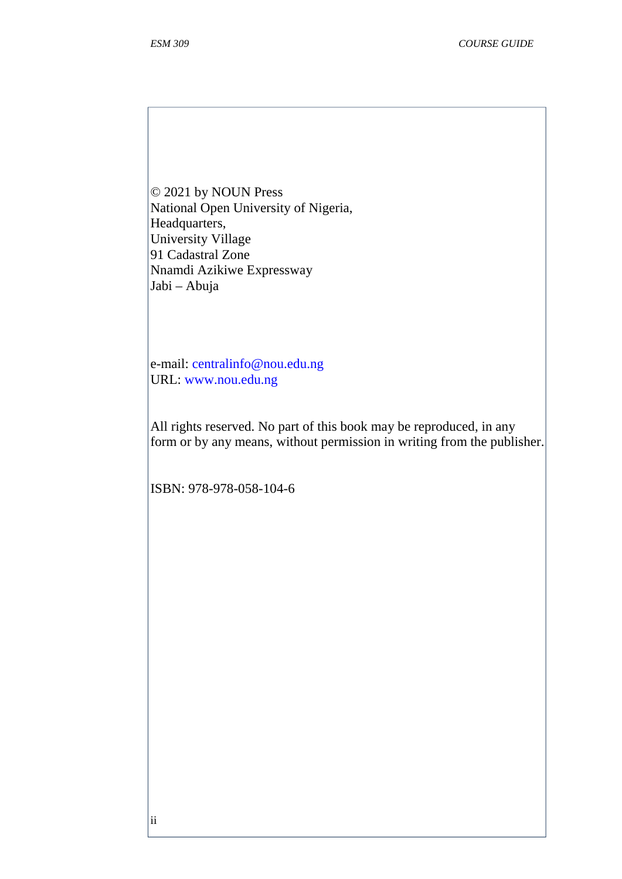© 2021 by NOUN Press National Open University of Nigeria, Headquarters, University Village 91 Cadastral Zone Nnamdi Azikiwe Expressway Jabi – Abuja

e-mail: centralinfo@nou.edu.ng URL: www.nou.edu.ng

All rights reserved. No part of this book may be reproduced, in any form or by any means, without permission in writing from the publisher.

ISBN: 978-978-058-104-6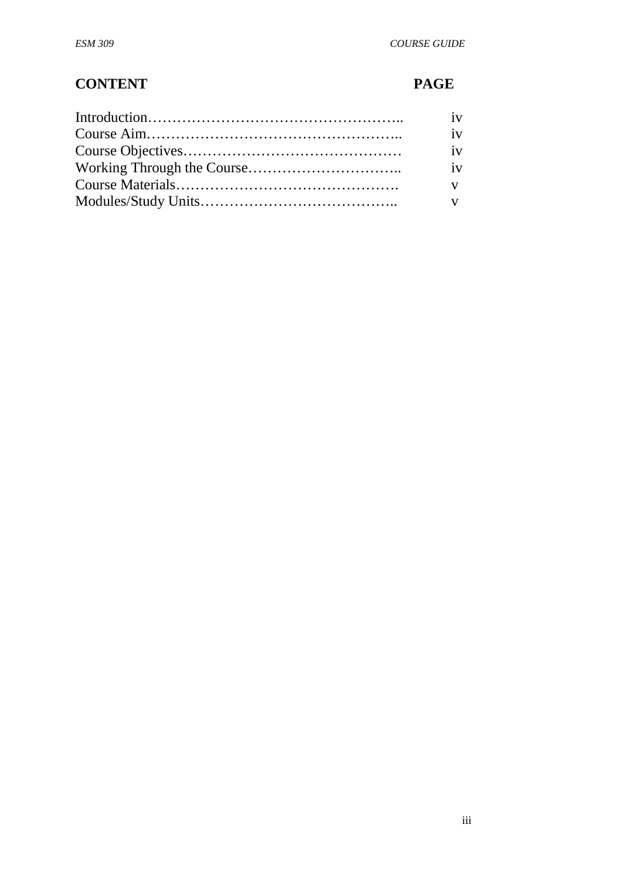# **CONTENT PAGE**

| 1V |  |
|----|--|
| 1V |  |
| 1V |  |
|    |  |
|    |  |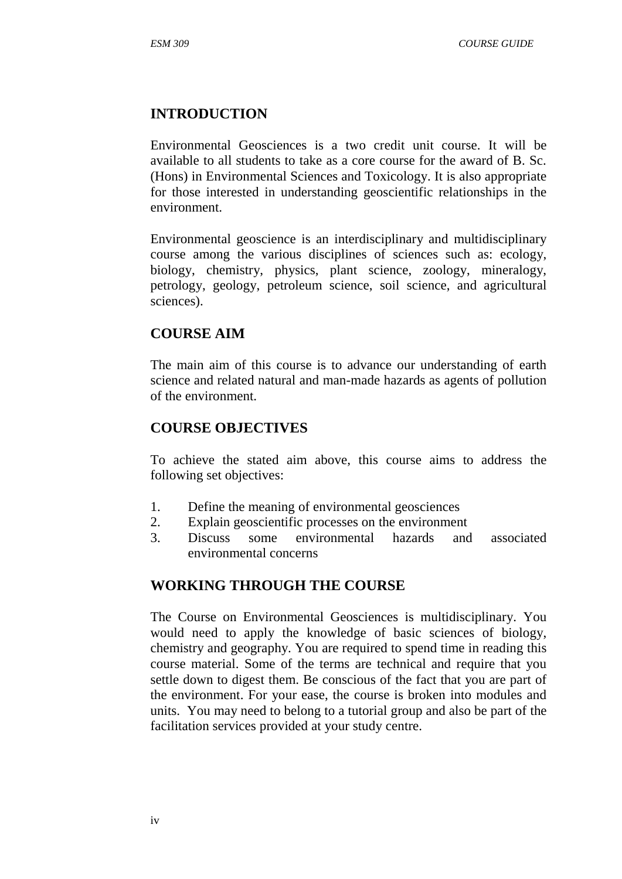# **INTRODUCTION**

Environmental Geosciences is a two credit unit course. It will be available to all students to take as a core course for the award of B. Sc. (Hons) in Environmental Sciences and Toxicology. It is also appropriate for those interested in understanding geoscientific relationships in the environment.

Environmental geoscience is an interdisciplinary and multidisciplinary course among the various disciplines of sciences such as: ecology, biology, chemistry, physics, plant science, zoology, mineralogy, petrology, geology, petroleum science, soil science, and agricultural sciences).

# **COURSE AIM**

The main aim of this course is to advance our understanding of earth science and related natural and man-made hazards as agents of pollution of the environment.

# **COURSE OBJECTIVES**

To achieve the stated aim above, this course aims to address the following set objectives:

- 1. Define the meaning of environmental geosciences
- 2. Explain geoscientific processes on the environment
- 3. Discuss some environmental hazards and associated environmental concerns

# **WORKING THROUGH THE COURSE**

The Course on Environmental Geosciences is multidisciplinary. You would need to apply the knowledge of basic sciences of biology, chemistry and geography. You are required to spend time in reading this course material. Some of the terms are technical and require that you settle down to digest them. Be conscious of the fact that you are part of the environment. For your ease, the course is broken into modules and units. You may need to belong to a tutorial group and also be part of the facilitation services provided at your study centre.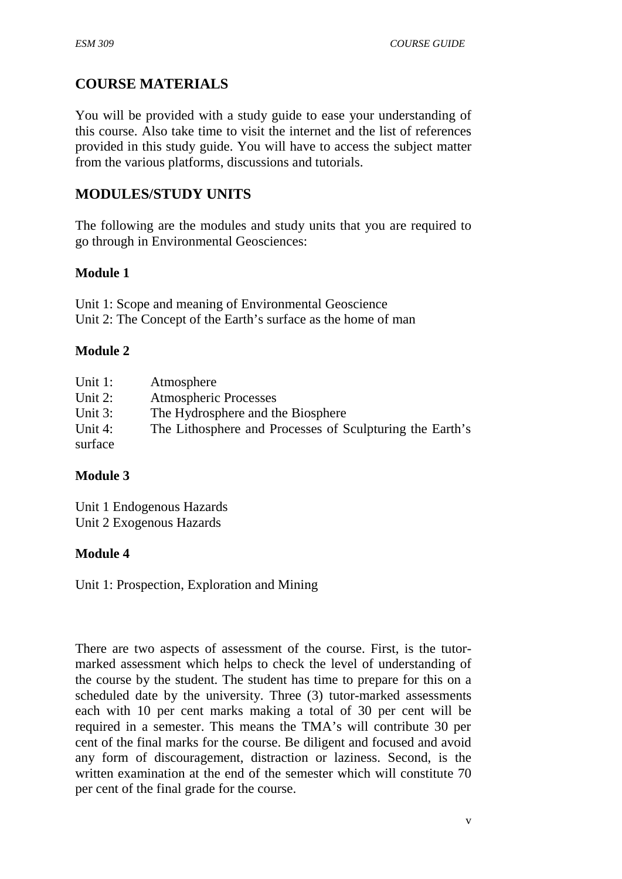# **COURSE MATERIALS**

You will be provided with a study guide to ease your understanding of this course. Also take time to visit the internet and the list of references provided in this study guide. You will have to access the subject matter from the various platforms, discussions and tutorials.

# **MODULES/STUDY UNITS**

The following are the modules and study units that you are required to go through in Environmental Geosciences:

# **Module 1**

Unit 1: Scope and meaning of Environmental Geoscience Unit 2: The Concept of the Earth's surface as the home of man

### **Module 2**

| Unit 1:    | Atmosphere                                               |
|------------|----------------------------------------------------------|
| Unit $2$ : | <b>Atmospheric Processes</b>                             |
| Unit $3$ : | The Hydrosphere and the Biosphere                        |
| Unit 4:    | The Lithosphere and Processes of Sculpturing the Earth's |
| surface    |                                                          |

# **Module 3**

Unit 1 Endogenous Hazards Unit 2 Exogenous Hazards

### **Module 4**

Unit 1: Prospection, Exploration and Mining

There are two aspects of assessment of the course. First, is the tutor marked assessment which helps to check the level of understanding of the course by the student. The student has time to prepare for this on a scheduled date by the university. Three (3) tutor-marked assessments each with 10 per cent marks making a total of 30 per cent will be required in a semester. This means the TMA's will contribute 30 per cent of the final marks for the course. Be diligent and focused and avoid any form of discouragement, distraction or laziness. Second, is the written examination at the end of the semester which will constitute 70 per cent of the final grade for the course.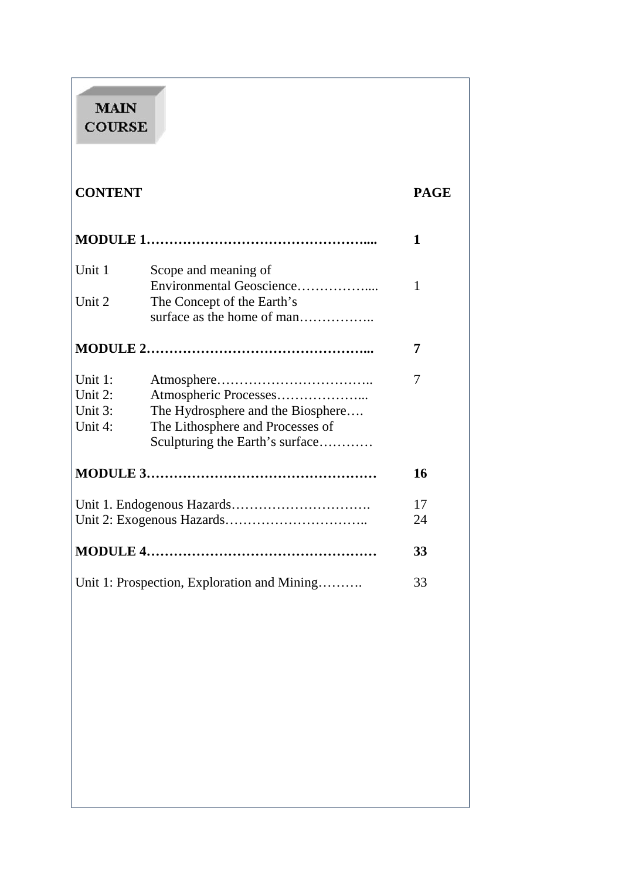# **MAIN COURSE**

| <b>CONTENT</b>                              |                                                                                                                                   | <b>PAGE</b> |
|---------------------------------------------|-----------------------------------------------------------------------------------------------------------------------------------|-------------|
|                                             |                                                                                                                                   | 1           |
| Unit 1                                      | Scope and meaning of<br>Environmental Geoscience                                                                                  | 1           |
| Unit 2                                      | The Concept of the Earth's<br>surface as the home of man                                                                          |             |
|                                             |                                                                                                                                   | 7           |
| Unit 1:<br>Unit 2:<br>Unit 3:<br>Unit 4:    | Atmospheric Processes<br>The Hydrosphere and the Biosphere<br>The Lithosphere and Processes of<br>Sculpturing the Earth's surface | 7           |
|                                             |                                                                                                                                   | 16          |
|                                             |                                                                                                                                   | 17<br>24    |
|                                             |                                                                                                                                   | 33          |
| Unit 1: Prospection, Exploration and Mining |                                                                                                                                   | 33          |
|                                             |                                                                                                                                   |             |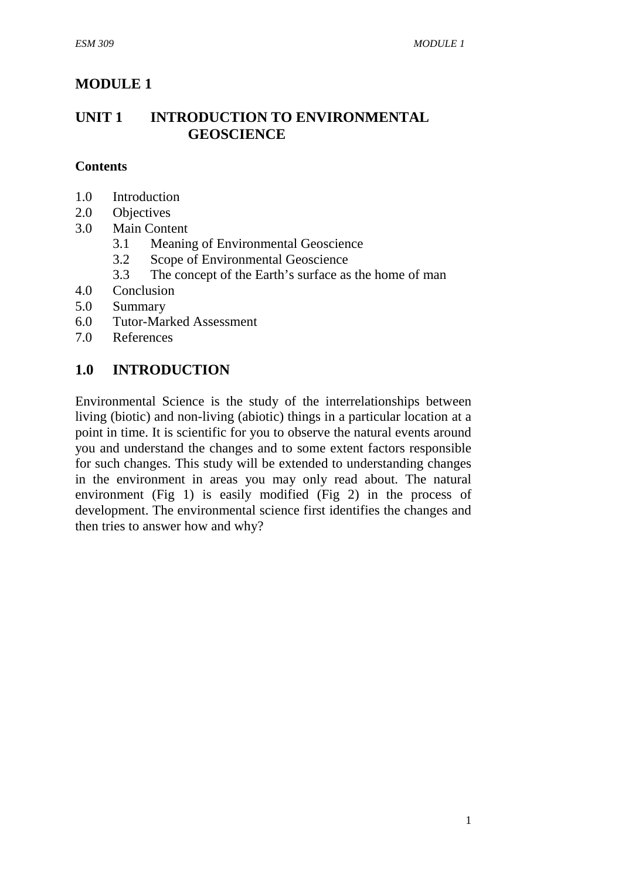# **MODULE 1**

# **UNIT 1 INTRODUCTION TO ENVIRONMENTAL GEOSCIENCE**

### **Contents**

- 1.0 Introduction
- 2.0 Objectives
- 3.0 Main Content
	- 3.1 Meaning of Environmental Geoscience
	- 3.2 Scope of Environmental Geoscience
	- 3.3 The concept of the Earth's surface as the home of man
- 4.0 Conclusion
- 5.0 Summary
- 6.0 Tutor-Marked Assessment
- 7.0 References

# **1.0 INTRODUCTION**

Environmental Science is the study of the interrelationships between living (biotic) and non-living (abiotic) things in a particular location at a point in time. It is scientific for you to observe the natural events around you and understand the changes and to some extent factors responsible for such changes. This study will be extended to understanding changes in the environment in areas you may only read about. The natural environment (Fig 1) is easily modified (Fig 2) in the process of development. The environmental science first identifies the changes and then tries to answer how and why?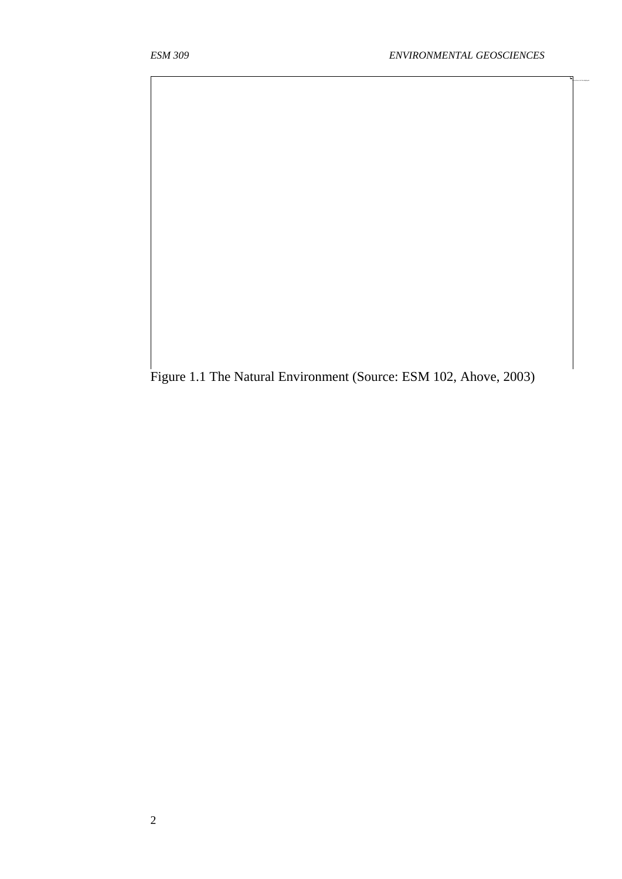The picture can't be displayed.

Figure 1.1 The Natural Environment (Source: ESM 102, Ahove, 2003)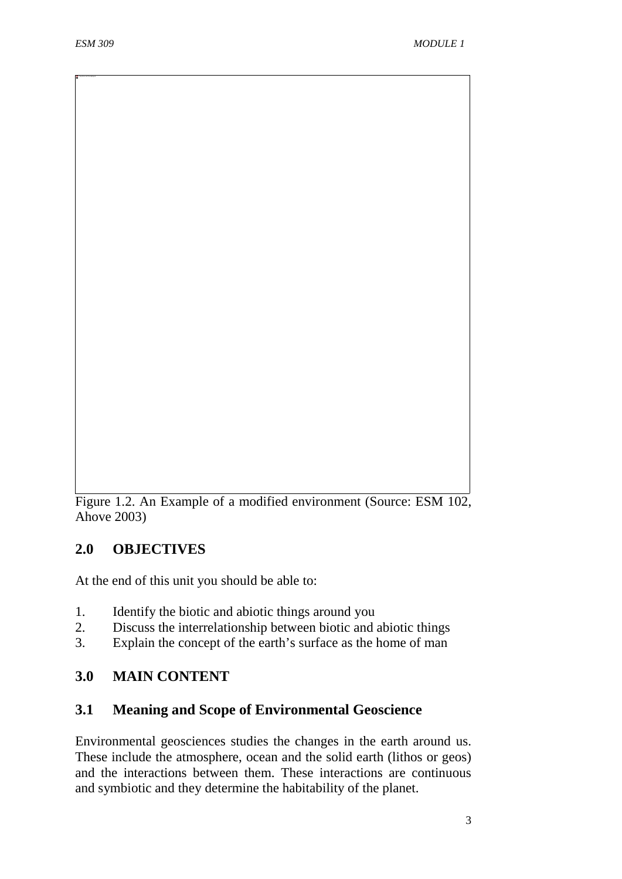Figure 1.2. An Example of a modified environment (Source: ESM 102, Ahove 2003)

# **2.0 OBJECTIVES**

At the end of this unit you should be able to:

- 1. Identify the biotic and abiotic things around you<br>2. Discuss the interrelationship between biotic and
- 2. Discuss the interrelationship between biotic and abiotic things
- 3. Explain the concept of the earth's surface as the home of man

# **3.0 MAIN CONTENT**

# **3.1 Meaning and Scope of Environmental Geoscience**

Environmental geosciences studies the changes in the earth around us. These include the atmosphere, ocean and the solid earth (lithos or geos) and the interactions between them. These interactions are continuous and symbiotic and they determine the habitability of the planet.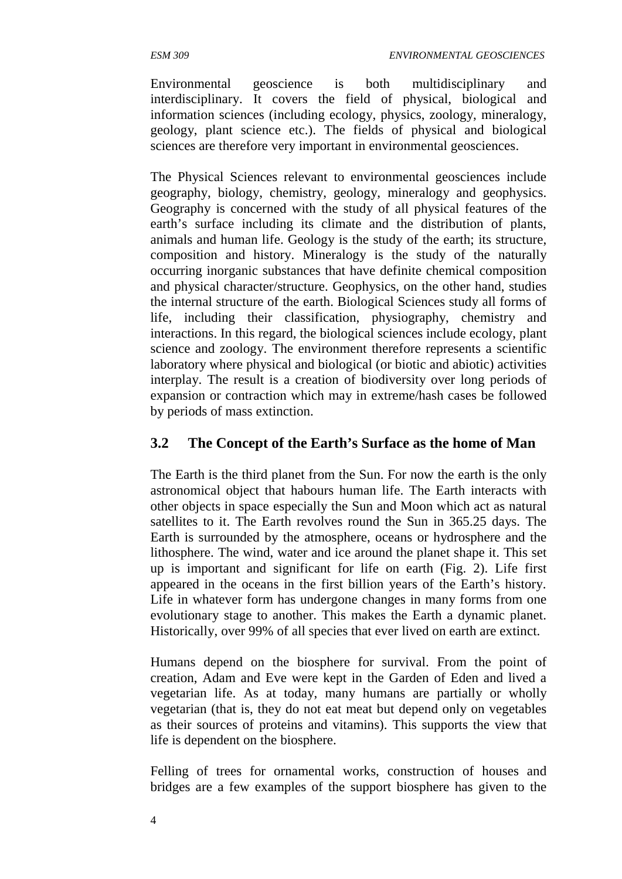Environmental geoscience is both multidisciplinary and interdisciplinary. It covers the field of physical, biological and information sciences (including ecology, physics, zoology, mineralogy, geology, plant science etc.). The fields of physical and biological sciences are therefore very important in environmental geosciences.

The Physical Sciences relevant to environmental geosciences include geography, biology, chemistry, geology, mineralogy and geophysics. Geography is concerned with the study of all physical features of the earth's surface including its climate and the distribution of plants, animals and human life. Geology is the study of the earth; its structure, composition and history. Mineralogy is the study of the naturally occurring inorganic substances that have definite chemical composition and physical character/structure. Geophysics, on the other hand, studies the internal structure of the earth. Biological Sciences study all forms of life, including their classification, physiography, chemistry and interactions. In this regard, the biological sciences include ecology, plant science and zoology. The environment therefore represents a scientific laboratory where physical and biological (or biotic and abiotic) activities interplay. The result is a creation of biodiversity over long periods of expansion or contraction which may in extreme/hash cases be followed by periods of mass extinction.

# **3.2 The Concept of the Earth's Surface as the home of Man**

The Earth is the third planet from the Sun. For now the earth is the only astronomical object that habours human life. The Earth interacts with other objects in space especially the Sun and Moon which act as natural satellites to it. The Earth revolves round the Sun in 365.25 days. The Earth is surrounded by the atmosphere, oceans or hydrosphere and the lithosphere. The wind, water and ice around the planet shape it. This set up is important and significant for life on earth (Fig. 2). Life first appeared in the oceans in the first billion years of the Earth's history. Life in whatever form has undergone changes in many forms from one evolutionary stage to another. This makes the Earth a dynamic planet. Historically, over 99% of all species that ever lived on earth are extinct.

Humans depend on the biosphere for survival. From the point of creation, Adam and Eve were kept in the Garden of Eden and lived a vegetarian life. As at today, many humans are partially or wholly vegetarian (that is, they do not eat meat but depend only on vegetables as their sources of proteins and vitamins). This supports the view that life is dependent on the biosphere.

Felling of trees for ornamental works, construction of houses and bridges are a few examples of the support biosphere has given to the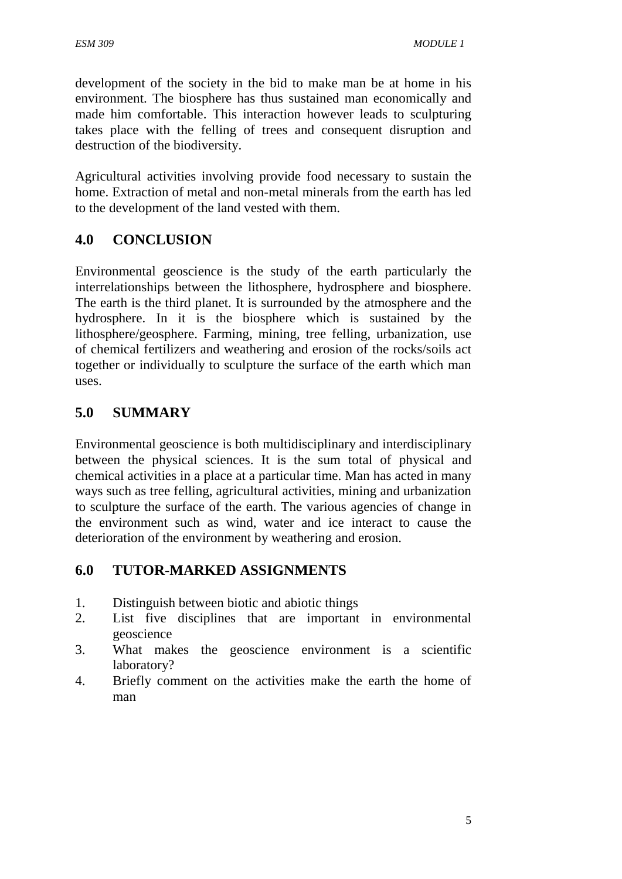development of the society in the bid to make man be at home in his environment. The biosphere has thus sustained man economically and made him comfortable. This interaction however leads to sculpturing takes place with the felling of trees and consequent disruption and destruction of the biodiversity.

Agricultural activities involving provide food necessary to sustain the home. Extraction of metal and non-metal minerals from the earth has led to the development of the land vested with them.

# **4.0 CONCLUSION**

Environmental geoscience is the study of the earth particularly the interrelationships between the lithosphere, hydrosphere and biosphere. The earth is the third planet. It is surrounded by the atmosphere and the hydrosphere. In it is the biosphere which is sustained by the lithosphere/geosphere. Farming, mining, tree felling, urbanization, use of chemical fertilizers and weathering and erosion of the rocks/soils act together or individually to sculpture the surface of the earth which man uses.

# **5.0 SUMMARY**

Environmental geoscience is both multidisciplinary and interdisciplinary between the physical sciences. It is the sum total of physical and chemical activities in a place at a particular time. Man has acted in many ways such as tree felling, agricultural activities, mining and urbanization to sculpture the surface of the earth. The various agencies of change in the environment such as wind, water and ice interact to cause the deterioration of the environment by weathering and erosion.

# **6.0 TUTOR-MARKED ASSIGNMENTS**

- 1. Distinguish between biotic and abiotic things
- 2. List five disciplines that are important in environmental geoscience
- 3. What makes the geoscience environment is a scientific laboratory?
- 4. Briefly comment on the activities make the earth the home of man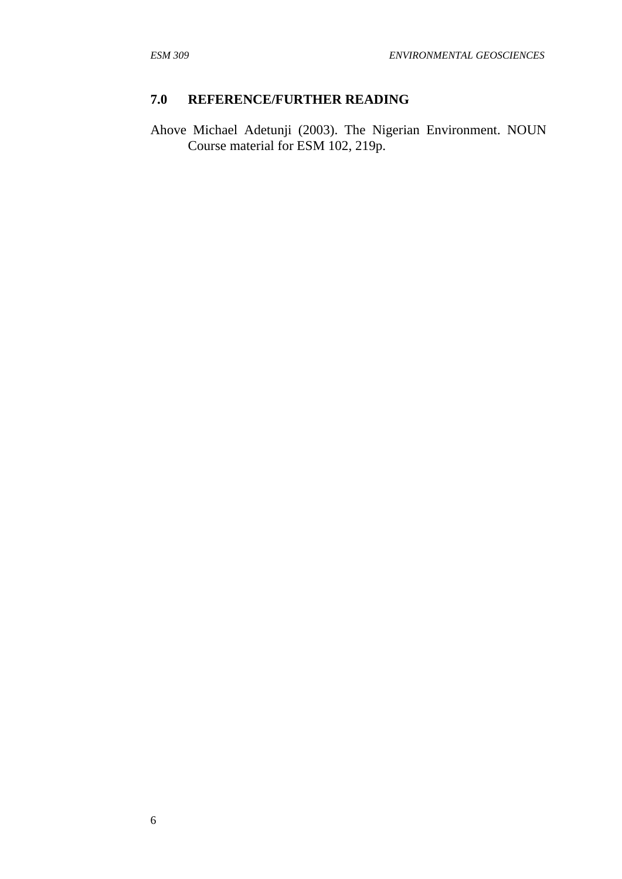# **7.0 REFERENCE/FURTHER READING**

Ahove Michael Adetunji (2003). The Nigerian Environment. NOUN Course material for ESM 102, 219p.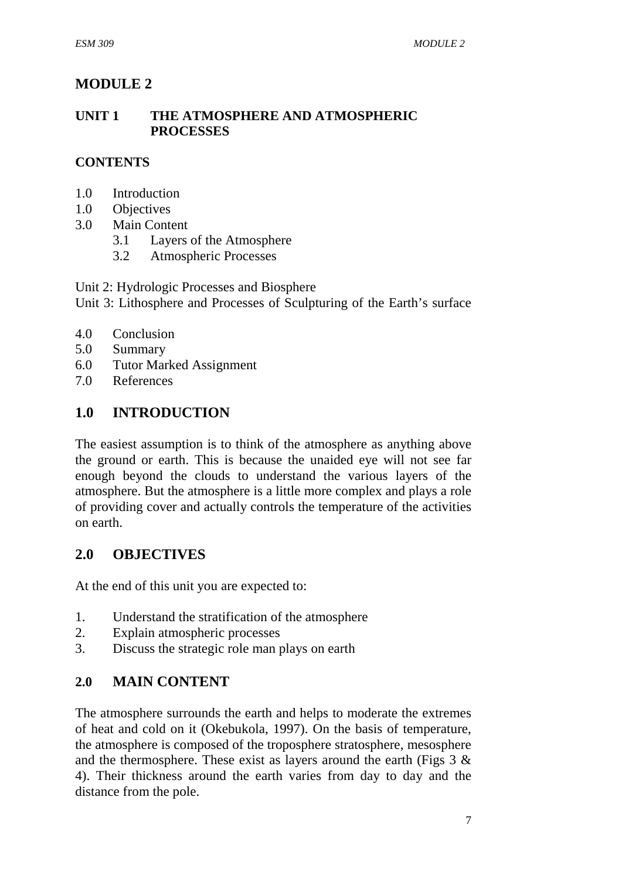# **MODULE 2**

### **UNIT 1 THE ATMOSPHERE AND ATMOSPHERIC PROCESSES**

# **CONTENTS**

- 1.0 Introduction
- 1.0 Objectives
- 3.0 Main Content
	- 3.1 Layers of the Atmosphere
	- 3.2 Atmospheric Processes

Unit 2: Hydrologic Processes and Biosphere

Unit 3: Lithosphere and Processes of Sculpturing of the Earth's surface

- 4.0 Conclusion
- 5.0 Summary
- 6.0 Tutor Marked Assignment
- 7.0 References

# **1.0 INTRODUCTION**

The easiest assumption is to think of the atmosphere as anything above the ground or earth. This is because the unaided eye will not see far enough beyond the clouds to understand the various layers of the atmosphere. But the atmosphere is a little more complex and plays a role of providing cover and actually controls the temperature of the activities on earth.

# **2.0 OBJECTIVES**

At the end of this unit you are expected to:

- 1. Understand the stratification of the atmosphere
- 2. Explain atmospheric processes
- 3. Discuss the strategic role man plays on earth

### **2.0 MAIN CONTENT**

The atmosphere surrounds the earth and helps to moderate the extremes of heat and cold on it (Okebukola, 1997). On the basis of temperature, the atmosphere is composed of the troposphere stratosphere, mesosphere and the thermosphere. These exist as layers around the earth (Figs 3 & 4). Their thickness around the earth varies from day to day and the distance from the pole.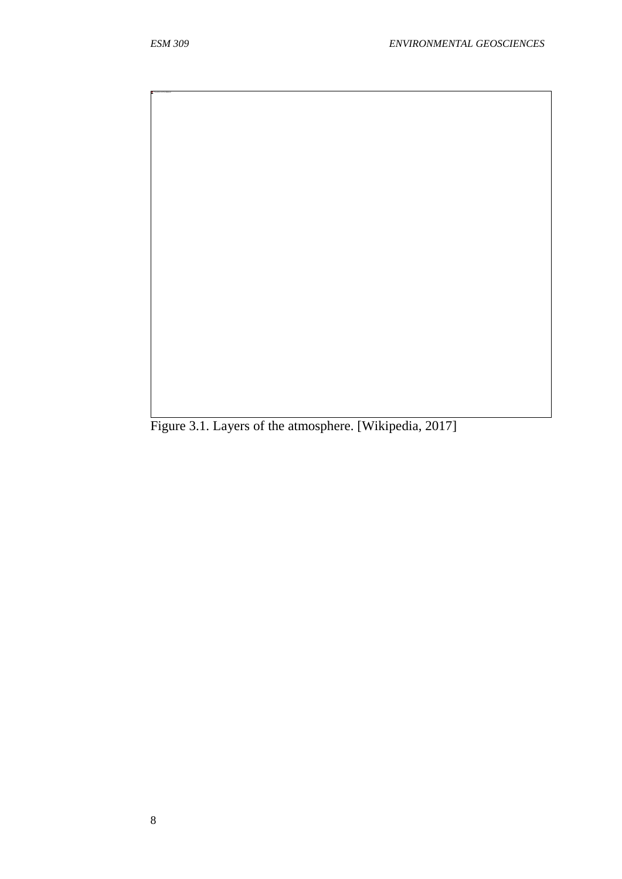Figure 3.1. Layers of the atmosphere. [Wikipedia, 2017]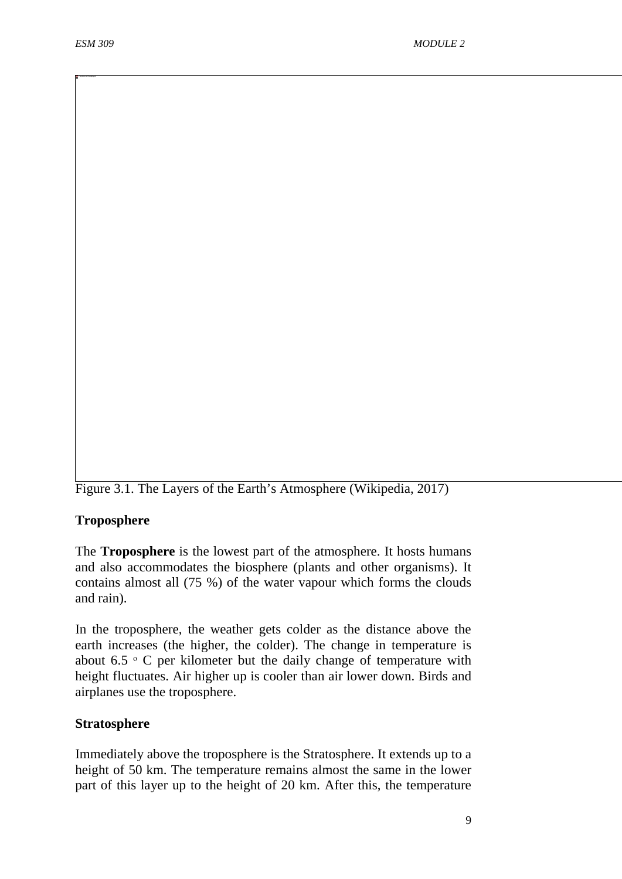Figure 3.1. The Layers of the Earth's Atmosphere (Wikipedia, 2017)

#### **Troposphere**

The **Troposphere** is the lowest part of the atmosphere. It hosts humans and also accommodates the biosphere (plants and other organisms). It contains almost all (75 %) of the water vapour which forms the clouds and rain).

In the troposphere, the weather gets colder as the distance above the earth increases (the higher, the colder). The change in temperature is about  $6.5 \circ C$  per kilometer but the daily change of temperature with height fluctuates. Air higher up is cooler than air lower down. Birds and airplanes use the troposphere.

#### **Stratosphere**

Immediately above the troposphere is the Stratosphere. It extends up to a height of 50 km. The temperature remains almost the same in the lower part of this layer up to the height of 20 km. After this, the temperature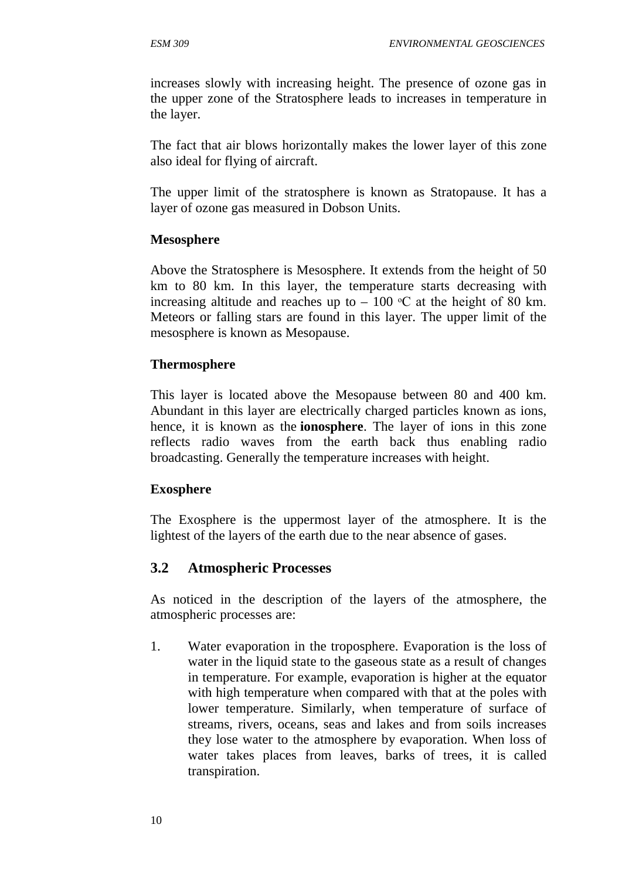increases slowly with increasing height. The presence of ozone gas in the upper zone of the Stratosphere leads to increases in temperature in the layer.

The fact that air blows horizontally makes the lower layer of this zone also ideal for flying of aircraft.

The upper limit of the stratosphere is known as Stratopause. It has a layer of ozone gas measured in Dobson Units.

# **Mesosphere**

Above the Stratosphere is Mesosphere. It extends from the height of 50 km to 80 km. In this layer, the temperature starts decreasing with increasing altitude and reaches up to  $-100$  °C at the height of 80 km. Meteors or falling stars are found in this layer. The upper limit of the mesosphere is known as Mesopause.

# **Thermosphere**

This layer is located above the Mesopause between 80 and 400 km. Abundant in this layer are electrically charged particles known as ions, hence, it is known as the **ionosphere**. The layer of ions in this zone reflects radio waves from the earth back thus enabling radio broadcasting. Generally the temperature increases with height.

# **Exosphere**

The Exosphere is the uppermost layer of the atmosphere. It is the lightest of the layers of the earth due to the near absence of gases.

# **3.2 Atmospheric Processes**

As noticed in the description of the layers of the atmosphere, the atmospheric processes are:

1. Water evaporation in the troposphere. Evaporation is the loss of water in the liquid state to the gaseous state as a result of changes in temperature. For example, evaporation is higher at the equator with high temperature when compared with that at the poles with lower temperature. Similarly, when temperature of surface of streams, rivers, oceans, seas and lakes and from soils increases they lose water to the atmosphere by evaporation. When loss of water takes places from leaves, barks of trees, it is called transpiration.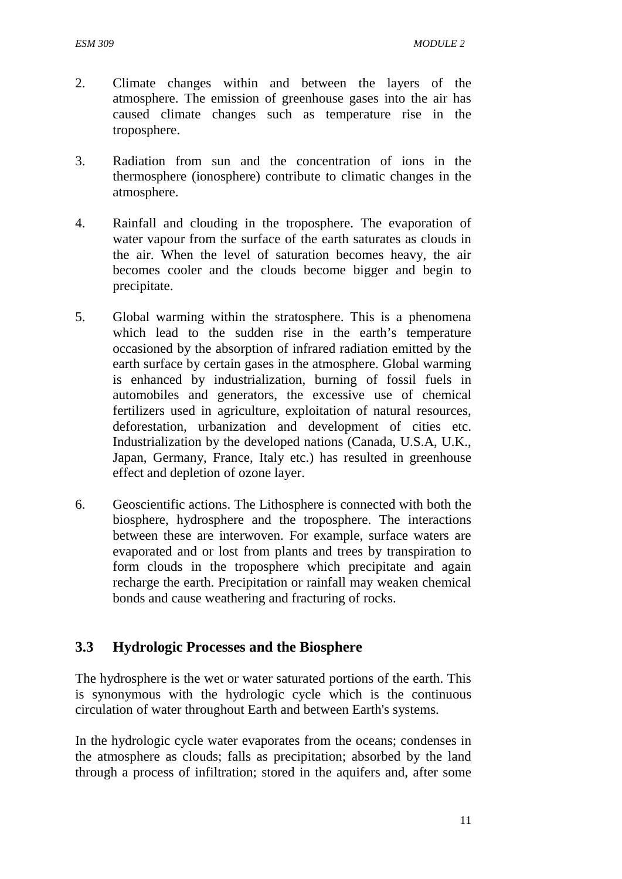- 2. Climate changes within and between the layers of the atmosphere. The emission of greenhouse gases into the air has caused climate changes such as temperature rise in the troposphere.
- 3. Radiation from sun and the concentration of ions in the thermosphere (ionosphere) contribute to climatic changes in the atmosphere.
- 4. Rainfall and clouding in the troposphere. The evaporation of water vapour from the surface of the earth saturates as clouds in the air. When the level of saturation becomes heavy, the air becomes cooler and the clouds become bigger and begin to precipitate.
- 5. Global warming within the stratosphere. This is a phenomena which lead to the sudden rise in the earth's temperature occasioned by the absorption of infrared radiation emitted by the earth surface by certain gases in the atmosphere. Global warming is enhanced by industrialization, burning of fossil fuels in automobiles and generators, the excessive use of chemical fertilizers used in agriculture, exploitation of natural resources, deforestation, urbanization and development of cities etc. Industrialization by the developed nations (Canada, U.S.A, U.K., Japan, Germany, France, Italy etc.) has resulted in greenhouse effect and depletion of ozone layer.
- 6. Geoscientific actions. The Lithosphere is connected with both the biosphere, hydrosphere and the troposphere. The interactions between these are interwoven. For example, surface waters are evaporated and or lost from plants and trees by transpiration to form clouds in the troposphere which precipitate and again recharge the earth. Precipitation or rainfall may weaken chemical bonds and cause weathering and fracturing of rocks.

# **3.3 Hydrologic Processes and the Biosphere**

The hydrosphere is the wet or water saturated portions of the earth. This is synonymous with the hydrologic cycle which is the continuous circulation of water throughout Earth and between Earth's systems.

In the hydrologic cycle water evaporates from the oceans; condenses in the atmosphere as clouds; falls as precipitation; absorbed by the land through a process of infiltration; stored in the aquifers and, after some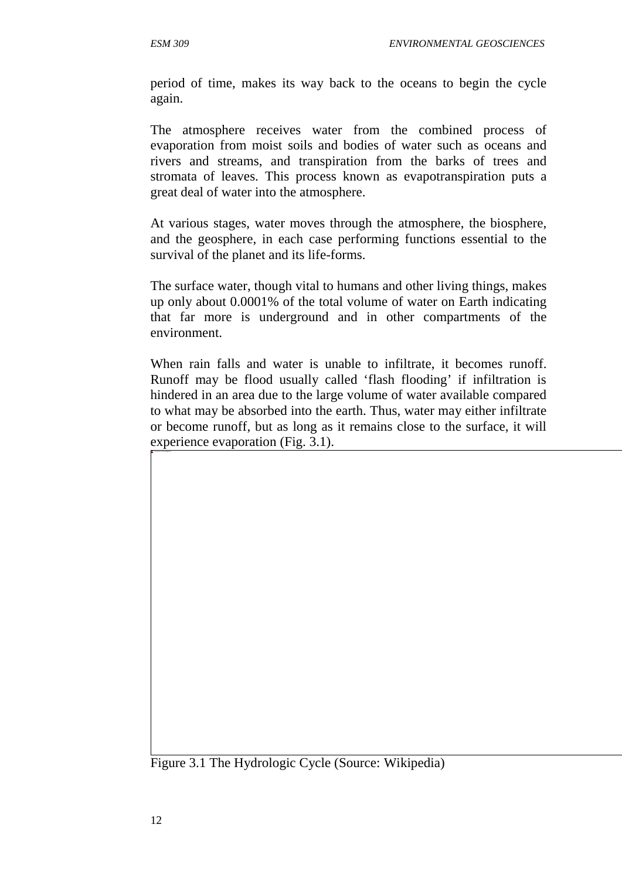period of time, makes its way back to the oceans to begin the cycle again.

The atmosphere receives water from the combined process of evaporation from moist soils and bodies of water such as oceans and rivers and streams, and transpiration from the barks of trees and stromata of leaves. This process known as evapotranspiration puts a great deal of water into the atmosphere.

At various stages, water moves through the atmosphere, the biosphere, and the geosphere, in each case performing functions essential to the survival of the planet and its life-forms.

The surface water, though vital to humans and other living things, makes up only about 0.0001% of the total volume of water on Earth indicating that far more is underground and in other compartments of the environment.

When rain falls and water is unable to infiltrate, it becomes runoff. Runoff may be flood usually called 'flash flooding' if infiltration is hindered in an area due to the large volume of water available compared to what may be absorbed into the earth. Thus, water may either infiltrate or become runoff, but as long as it remains close to the surface, it will experience evaporation (Fig. 3.1).

Figure 3.1 The Hydrologic Cycle (Source: Wikipedia)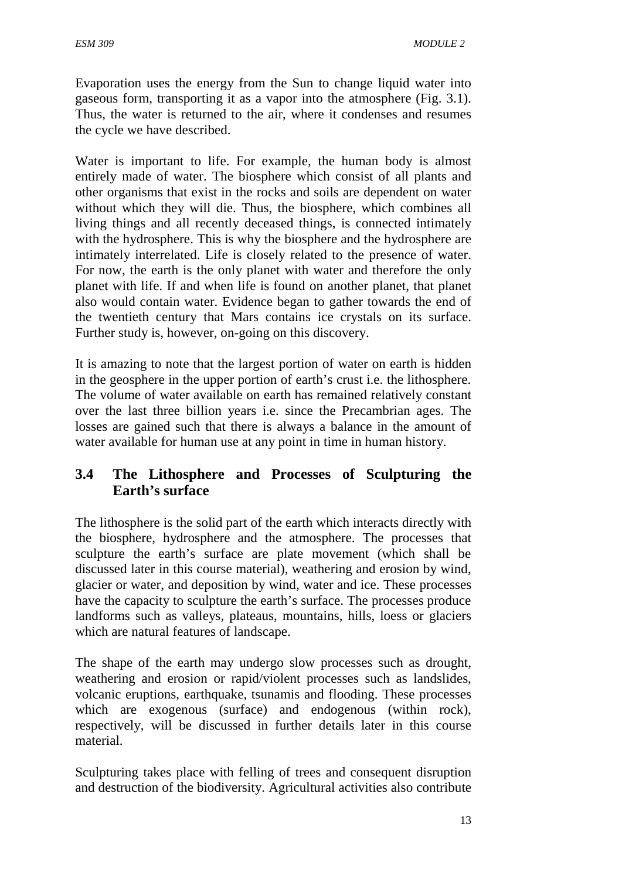Evaporation uses the energy from the Sun to change liquid water into gaseous form, transporting it as a vapor into the atmosphere (Fig. 3.1). Thus, the water is returned to the air, where it condenses and resumes the cycle we have described.

Water is important to life. For example, the human body is almost entirely made of water. The biosphere which consist of all plants and other organisms that exist in the rocks and soils are dependent on water without which they will die. Thus, the biosphere, which combines all living things and all recently deceased things, is connected intimately with the hydrosphere. This is why the biosphere and the hydrosphere are intimately interrelated. Life is closely related to the presence of water. For now, the earth is the only planet with water and therefore the only planet with life. If and when life is found on another planet, that planet also would contain water. Evidence began to gather towards the end of the twentieth century that Mars contains ice crystals on its surface. Further study is, however, on-going on this discovery.

It is amazing to note that the largest portion of water on earth is hidden in the geosphere in the upper portion of earth's crust i.e. the lithosphere. The volume of water available on earth has remained relatively constant over the last three billion years i.e. since the Precambrian ages. The losses are gained such that there is always a balance in the amount of water available for human use at any point in time in human history.

# **3.4 The Lithosphere and Processes of Sculpturing the Earth's surface**

The lithosphere is the solid part of the earth which interacts directly with the biosphere, hydrosphere and the atmosphere. The processes that sculpture the earth's surface are plate movement (which shall be discussed later in this course material), weathering and erosion by wind, glacier or water, and deposition by wind, water and ice. These processes have the capacity to sculpture the earth's surface. The processes produce landforms such as valleys, plateaus, mountains, hills, loess or glaciers which are natural features of landscape.

The shape of the earth may undergo slow processes such as drought, weathering and erosion or rapid/violent processes such as landslides, volcanic eruptions, earthquake, tsunamis and flooding. These processes which are exogenous (surface) and endogenous (within rock), respectively, will be discussed in further details later in this course material.

Sculpturing takes place with felling of trees and consequent disruption and destruction of the biodiversity. Agricultural activities also contribute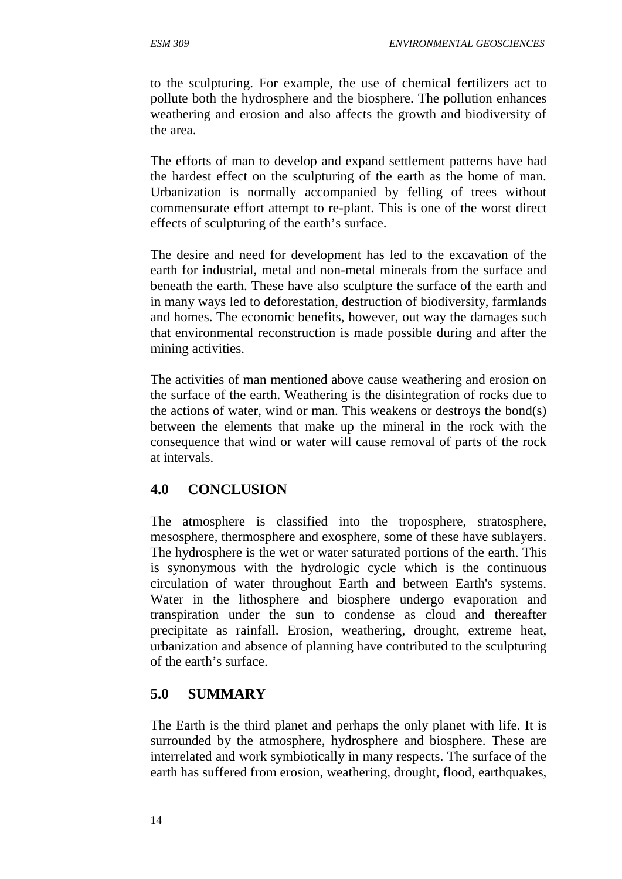to the sculpturing. For example, the use of chemical fertilizers act to pollute both the hydrosphere and the biosphere. The pollution enhances weathering and erosion and also affects the growth and biodiversity of the area.

The efforts of man to develop and expand settlement patterns have had the hardest effect on the sculpturing of the earth as the home of man. Urbanization is normally accompanied by felling of trees without commensurate effort attempt to re-plant. This is one of the worst direct effects of sculpturing of the earth's surface.

The desire and need for development has led to the excavation of the earth for industrial, metal and non-metal minerals from the surface and beneath the earth. These have also sculpture the surface of the earth and in many ways led to deforestation, destruction of biodiversity, farmlands and homes. The economic benefits, however, out way the damages such that environmental reconstruction is made possible during and after the mining activities.

The activities of man mentioned above cause weathering and erosion on the surface of the earth. Weathering is the disintegration of rocks due to the actions of water, wind or man. This weakens or destroys the bond(s) between the elements that make up the mineral in the rock with the consequence that wind or water will cause removal of parts of the rock at intervals.

# **4.0 CONCLUSION**

The atmosphere is classified into the troposphere, stratosphere, mesosphere, thermosphere and exosphere, some of these have sublayers. The hydrosphere is the wet or water saturated portions of the earth. This is synonymous with the hydrologic cycle which is the continuous circulation of water throughout Earth and between Earth's systems. Water in the lithosphere and biosphere undergo evaporation and transpiration under the sun to condense as cloud and thereafter precipitate as rainfall. Erosion, weathering, drought, extreme heat, urbanization and absence of planning have contributed to the sculpturing of the earth's surface.

# **5.0 SUMMARY**

The Earth is the third planet and perhaps the only planet with life. It is surrounded by the atmosphere, hydrosphere and biosphere. These are interrelated and work symbiotically in many respects. The surface of the earth has suffered from erosion, weathering, drought, flood, earthquakes,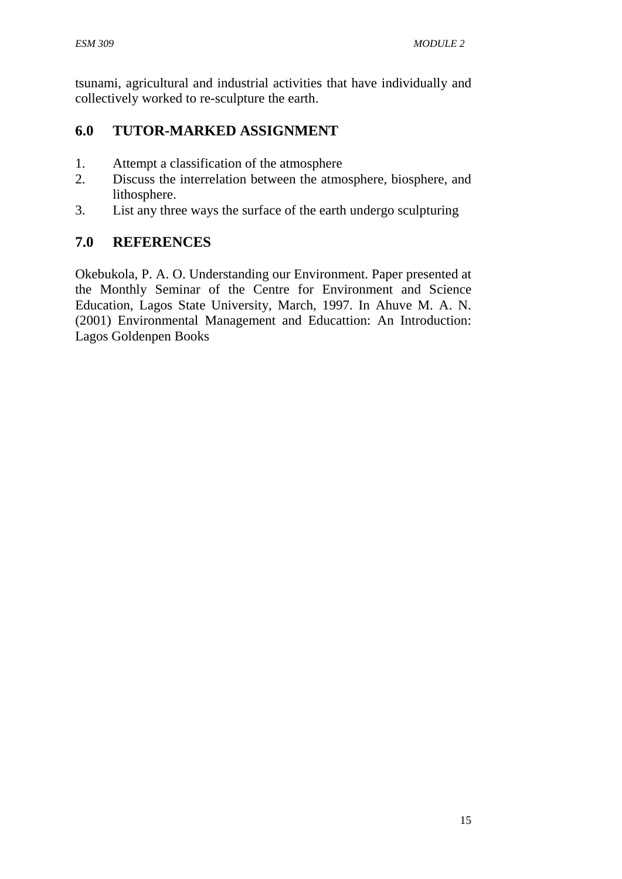tsunami, agricultural and industrial activities that have individually and collectively worked to re-sculpture the earth.

# **6.0 TUTOR-MARKED ASSIGNMENT**

- 1. Attempt a classification of the atmosphere
- 2. Discuss the interrelation between the atmosphere, biosphere, and lithosphere.
- 3. List any three ways the surface of the earth undergo sculpturing

# **7.0 REFERENCES**

Okebukola, P. A. O. Understanding our Environment. Paper presented at the Monthly Seminar of the Centre for Environment and Science Education, Lagos State University, March, 1997. In Ahuve M. A. N. (2001) Environmental Management and Educattion: An Introduction: Lagos Goldenpen Books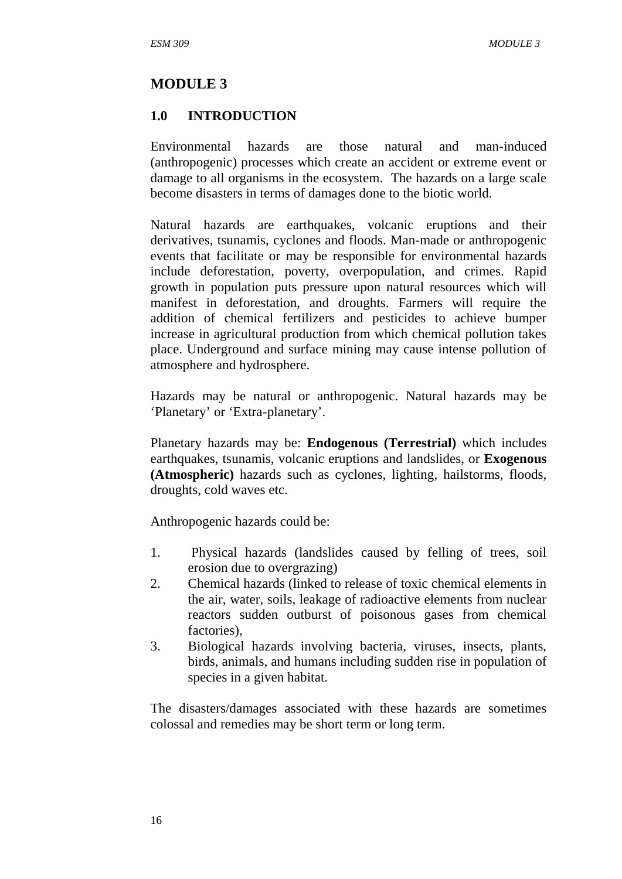### **MODULE 3**

#### **1.0 INTRODUCTION**

Environmental hazards are those natural and man-induced (anthropogenic) processes which create an accident or extreme event or damage to all organisms in the ecosystem. The hazards on a large scale become disasters in terms of damages done to the biotic world.

Natural hazards are earthquakes, volcanic eruptions and their derivatives, tsunamis, cyclones and floods. Man-made or anthropogenic events that facilitate or may be responsible for environmental hazards include deforestation, poverty, overpopulation, and crimes. Rapid growth in population puts pressure upon natural resources which will manifest in deforestation, and droughts. Farmers will require the addition of chemical fertilizers and pesticides to achieve bumper increase in agricultural production from which chemical pollution takes place. Underground and surface mining may cause intense pollution of atmosphere and hydrosphere.

Hazards may be natural or anthropogenic. Natural hazards may be 'Planetary' or 'Extra-planetary'.

Planetary hazards may be: **Endogenous (Terrestrial)** which includes earthquakes, tsunamis, volcanic eruptions and landslides, or **Exogenous (Atmospheric)** hazards such as cyclones, lighting, hailstorms, floods, droughts, cold waves etc.

Anthropogenic hazards could be:

- 1. Physical hazards (landslides caused by felling of trees, soil erosion due to overgrazing)
- 2. Chemical hazards (linked to release of toxic chemical elements in the air, water, soils, leakage of radioactive elements from nuclear reactors sudden outburst of poisonous gases from chemical factories),
- 3. Biological hazards involving bacteria, viruses, insects, plants, birds, animals, and humans including sudden rise in population of species in a given habitat.

The disasters/damages associated with these hazards are sometimes colossal and remedies may be short term or long term.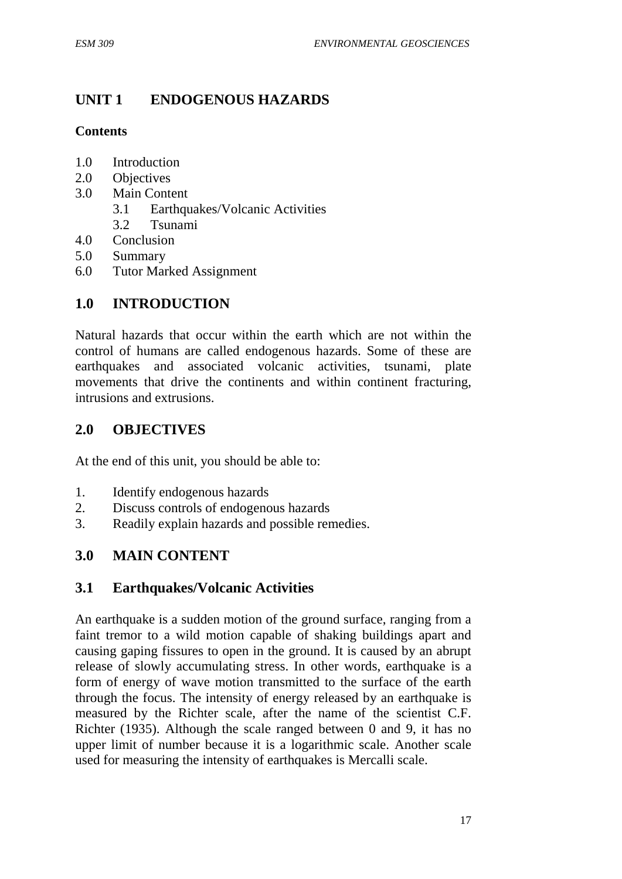# **UNIT 1 ENDOGENOUS HAZARDS**

### **Contents**

- 1.0 Introduction
- 2.0 Objectives
- 3.0 Main Content
	- 3.1 Earthquakes/Volcanic Activities
	- 3.2 Tsunami
- 4.0 Conclusion
- 5.0 Summary
- 6.0 Tutor Marked Assignment

# **1.0 INTRODUCTION**

Natural hazards that occur within the earth which are not within the control of humans are called endogenous hazards. Some of these are earthquakes and associated volcanic activities, tsunami, plate movements that drive the continents and within continent fracturing, intrusions and extrusions.

# **2.0 OBJECTIVES**

At the end of this unit, you should be able to:

- 1. Identify endogenous hazards
- 2. Discuss controls of endogenous hazards
- 3. Readily explain hazards and possible remedies.

# **3.0 MAIN CONTENT**

# **3.1 Earthquakes/Volcanic Activities**

An earthquake is a sudden motion of the ground surface, ranging from a faint tremor to a wild motion capable of shaking buildings apart and causing gaping fissures to open in the ground. It is caused by an abrupt release of slowly accumulating stress. In other words, earthquake is a form of energy of wave motion transmitted to the surface of the earth through the focus. The intensity of energy released by an earthquake is measured by the Richter scale, after the name of the scientist C.F. Richter (1935). Although the scale ranged between 0 and 9, it has no upper limit of number because it is a logarithmic scale. Another scale used for measuring the intensity of earthquakes is Mercalli scale.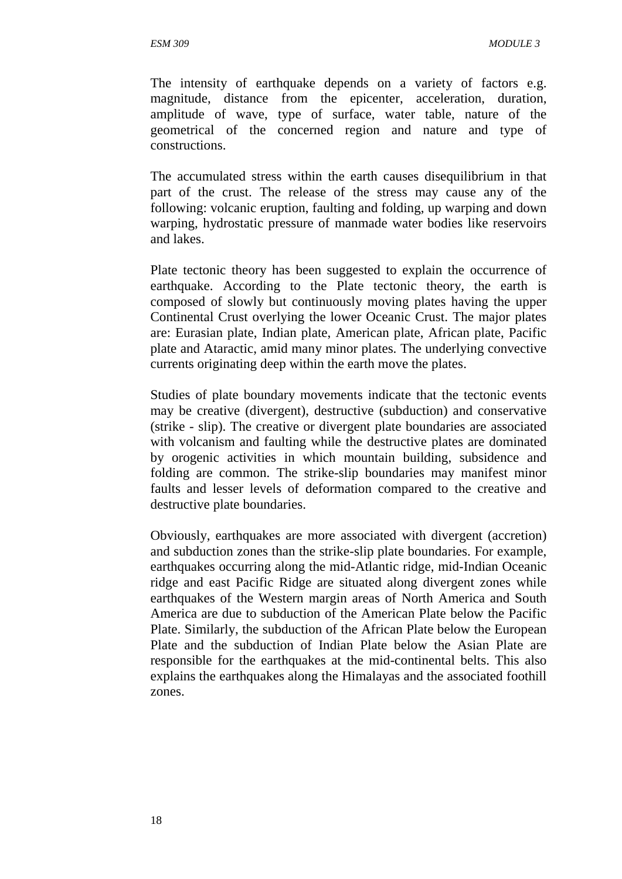The intensity of earthquake depends on a variety of factors e.g. magnitude, distance from the epicenter, acceleration, duration, amplitude of wave, type of surface, water table, nature of the geometrical of the concerned region and nature and type of constructions.

The accumulated stress within the earth causes disequilibrium in that part of the crust. The release of the stress may cause any of the following: volcanic eruption, faulting and folding, up warping and down warping, hydrostatic pressure of manmade water bodies like reservoirs and lakes.

Plate tectonic theory has been suggested to explain the occurrence of earthquake. According to the Plate tectonic theory, the earth is composed of slowly but continuously moving plates having the upper Continental Crust overlying the lower Oceanic Crust. The major plates are: Eurasian plate, Indian plate, American plate, African plate, Pacific plate and Ataractic, amid many minor plates. The underlying convective currents originating deep within the earth move the plates.

Studies of plate boundary movements indicate that the tectonic events may be creative (divergent), destructive (subduction) and conservative (strike - slip). The creative or divergent plate boundaries are associated with volcanism and faulting while the destructive plates are dominated by orogenic activities in which mountain building, subsidence and folding are common. The strike-slip boundaries may manifest minor faults and lesser levels of deformation compared to the creative and destructive plate boundaries.

Obviously, earthquakes are more associated with divergent (accretion) and subduction zones than the strike-slip plate boundaries. For example, earthquakes occurring along the mid-Atlantic ridge, mid-Indian Oceanic ridge and east Pacific Ridge are situated along divergent zones while earthquakes of the Western margin areas of North America and South America are due to subduction of the American Plate below the Pacific Plate. Similarly, the subduction of the African Plate below the European Plate and the subduction of Indian Plate below the Asian Plate are responsible for the earthquakes at the mid-continental belts. This also explains the earthquakes along the Himalayas and the associated foothill zones.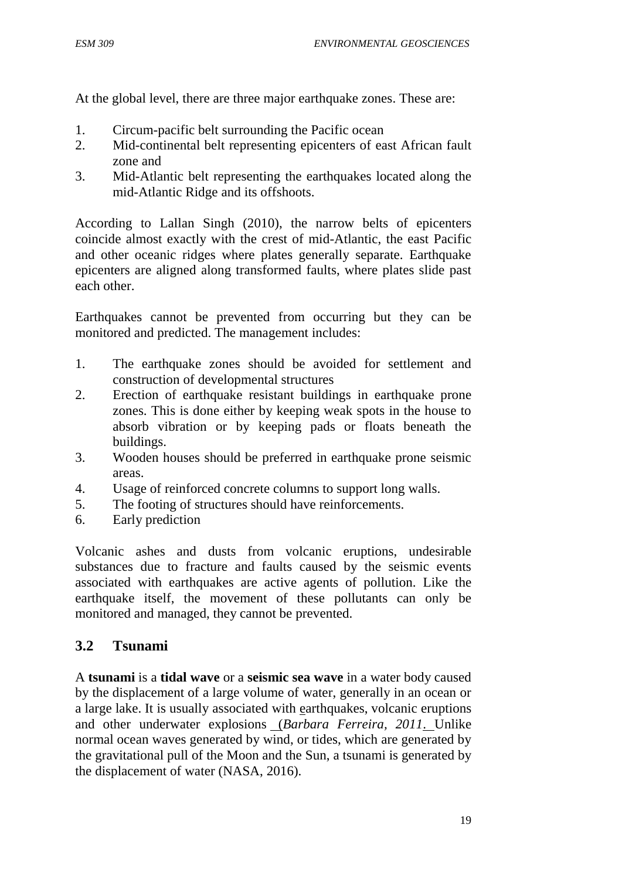At the global level, there are three major earthquake zones. These are:

- 1. Circum-pacific belt surrounding the Pacific ocean
- 2. Mid-continental belt representing epicenters of east African fault zone and
- 3. Mid-Atlantic belt representing the earthquakes located along the mid-Atlantic Ridge and its offshoots.

According to Lallan Singh (2010), the narrow belts of epicenters coincide almost exactly with the crest of mid-Atlantic, the east Pacific and other oceanic ridges where plates generally separate. Earthquake epicenters are aligned along transformed faults, where plates slide past each other.

Earthquakes cannot be prevented from occurring but they can be monitored and predicted. The management includes:

- 1. The earthquake zones should be avoided for settlement and construction of developmental structures
- 2. Erection of earthquake resistant buildings in earthquake prone zones. This is done either by keeping weak spots in the house to absorb vibration or by keeping pads or floats beneath the buildings.
- 3. Wooden houses should be preferred in earthquake prone seismic areas.
- 4. Usage of reinforced concrete columns to support long walls.
- 5. The footing of structures should have reinforcements.
- 6. Early prediction

Volcanic ashes and dusts from volcanic eruptions, undesirable substances due to fracture and faults caused by the seismic events associated with earthquakes are active agents of pollution. Like the earthquake itself, the movement of these pollutants can only be monitored and managed, they cannot be prevented.

# **3.2 Tsunami**

A **tsunami** is a **tidal wave** or a **seismic sea wave** in a water body caused by the displacement of a large volume of water, generally in an ocean or a large lake. It is usually associated with earthquakes, volcanic eruptions and other underwater explosions (*Barbara Ferreira, 2011*. Unlike normal ocean waves generated by wind, or tides, which are generated by the gravitational pull of the Moon and the Sun, a tsunami is generated by the displacement of water (NASA, 2016).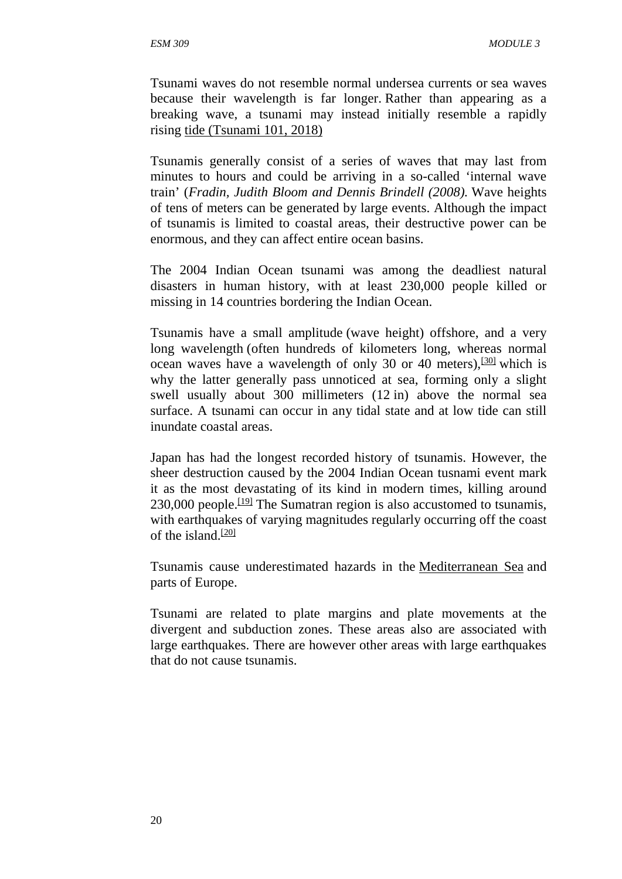Tsunami waves do not resemble normal undersea currents or sea waves because their wavelength is far longer. Rather than appearing as a breaking wave, a tsunami may instead initially resemble a rapidly rising tide (Tsunami 101, 2018)

Tsunamis generally consist of a series of waves that may last from minutes to hours and could be arriving in a so-called 'internal wave train' (*Fradin, Judith Bloom and Dennis Brindell (2008).* Wave heights of tens of meters can be generated by large events. Although the impact of tsunamis is limited to coastal areas, their destructive power can be enormous, and they can affect entire ocean basins.

The 2004 Indian Ocean tsunami was among the deadliest natural disasters in human history, with at least 230,000 people killed or missing in 14 countries bordering the Indian Ocean.

Tsunamis have a small amplitude (wave height) offshore, and a very long wavelength (often hundreds of kilometers long, whereas normal ocean waves have a wavelength of only 30 or 40 meters),  $\frac{300}{30}$  which is why the latter generally pass unnoticed at sea, forming only a slight swell usually about 300 millimeters (12 in) above the normal sea surface. A tsunami can occur in any tidal state and at low tide can still inundate coastal areas.

Japan has had the longest recorded history of tsunamis. However, the sheer destruction caused by the 2004 Indian Ocean tusnami event mark it as the most devastating of its kind in modern times, killing around  $230,000$  people.<sup>[19]</sup> The Sumatran region is also accustomed to tsunamis, with earthquakes of varying magnitudes regularly occurring off the coast of the island. $[20]$ 

Tsunamis cause underestimated hazards in the Mediterranean Sea and parts of Europe.

Tsunami are related to plate margins and plate movements at the divergent and subduction zones. These areas also are associated with large earthquakes. There are however other areas with large earthquakes that do not cause tsunamis.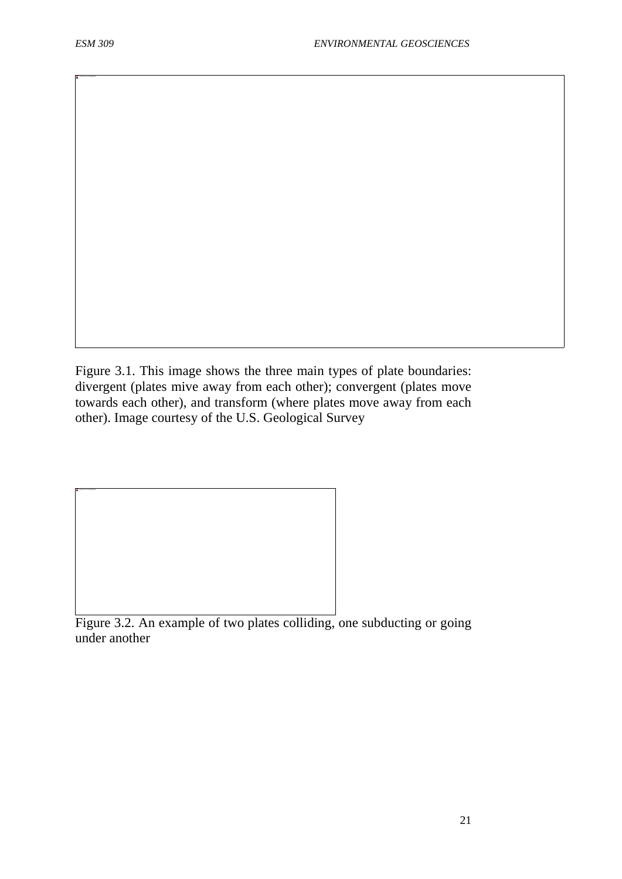The picture can't be displayed.

Figure 3.1. This image shows the three main types of plate boundaries: divergent (plates mive away from each other); convergent (plates move towards each other), and transform (where plates move away from each other). Image courtesy of the U.S. Geological Survey

Figure 3.2. An example of two plates colliding, one subducting or going under another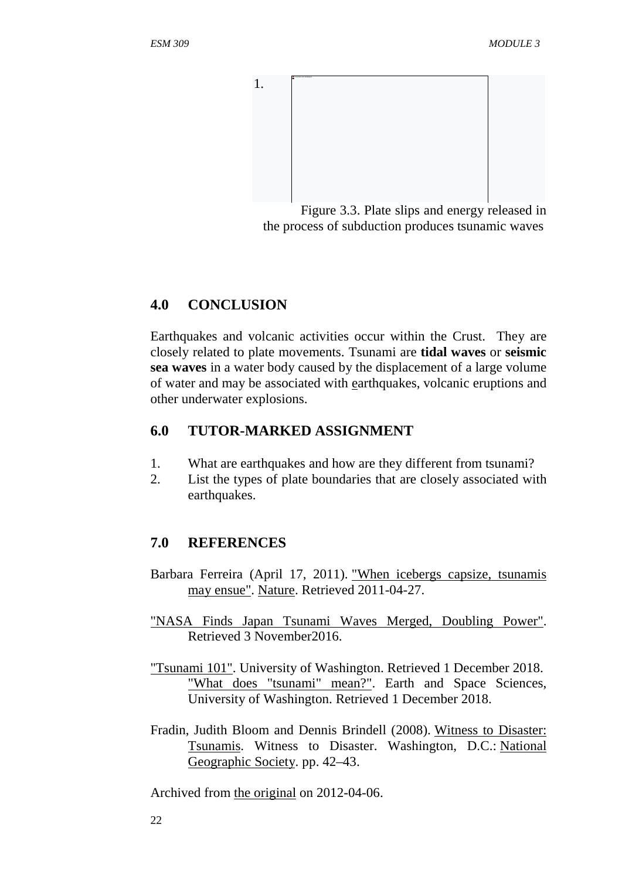

Figure 3.3. Plate slips and energy released in the process of subduction produces tsunamic waves

### **4.0 CONCLUSION**

Earthquakes and volcanic activities occur within the Crust. They are closely related to plate movements. Tsunami are **tidal waves** or **seismic sea waves** in a water body caused by the displacement of a large volume of water and may be associated with earthquakes, volcanic eruptions and other underwater explosions.

# **6.0 TUTOR-MARKED ASSIGNMENT**

- 1. What are earthquakes and how are they different from tsunami?
- 2. List the types of plate boundaries that are closely associated with earthquakes.

# **7.0 REFERENCES**

- Barbara Ferreira (April 17, 2011). "When icebergs capsize, tsunamis may ensue". Nature. Retrieved 2011-04-27.
- "NASA Finds Japan Tsunami Waves Merged, Doubling Power". Retrieved 3 November2016.
- "Tsunami 101". University of Washington. Retrieved 1 December 2018. "What does "tsunami" mean?". Earth and Space Sciences, University of Washington. Retrieved 1 December 2018.
- Fradin, Judith Bloom and Dennis Brindell (2008). Witness to Disaster: Tsunamis. Witness to Disaster. Washington, D.C.: National Geographic Society. pp. 42–43.

Archived from the original on 2012-04-06.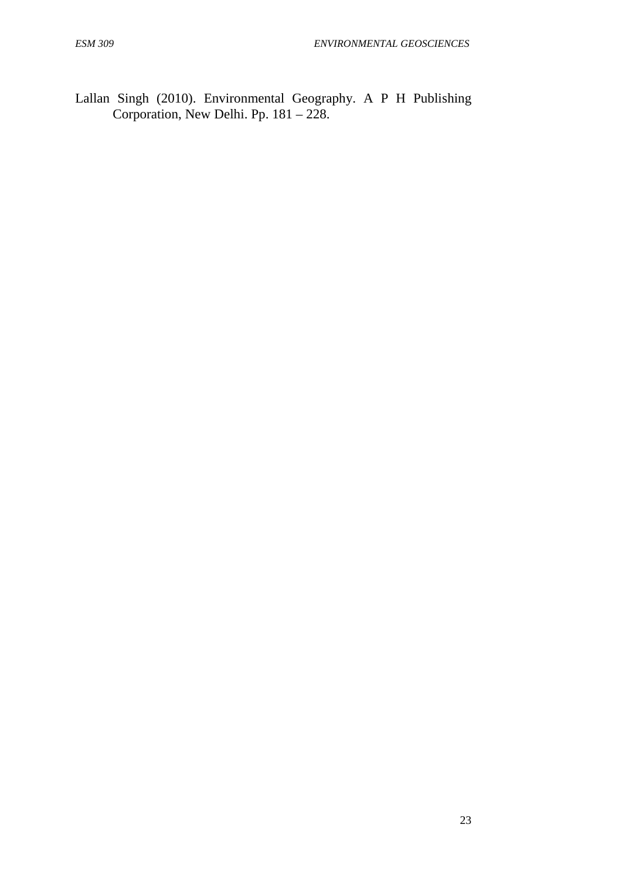Lallan Singh (2010). Environmental Geography. A P H Publishing Corporation, New Delhi. Pp. 181 – 228.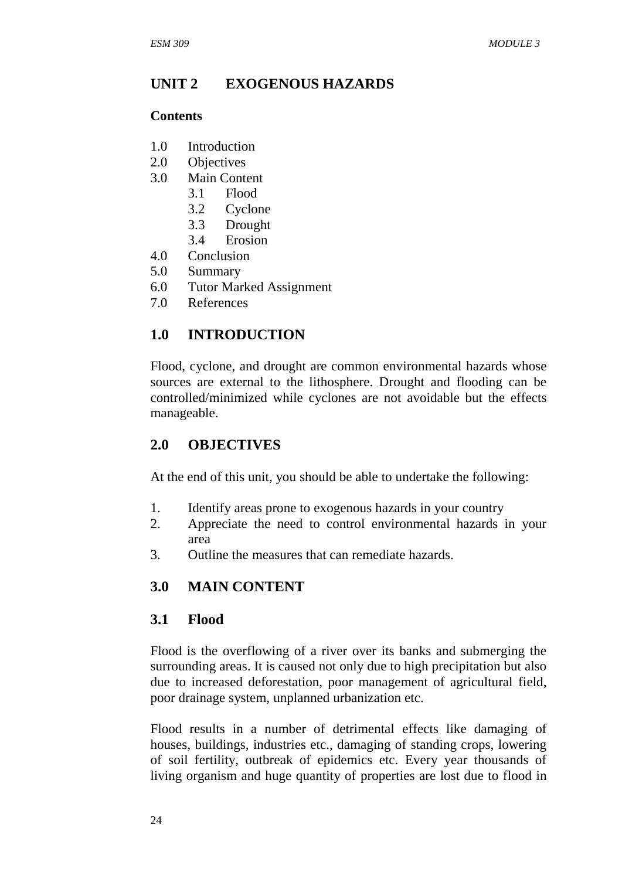### **UNIT 2 EXOGENOUS HAZARDS**

#### **Contents**

- 1.0 Introduction
- 2.0 Objectives
- 3.0 Main Content
	- 3.1 Flood
	- 3.2 Cyclone
	- 3.3 Drought
	- 3.4 Erosion
- 4.0 Conclusion
- 5.0 Summary
- 6.0 Tutor Marked Assignment
- 7.0 References

# **1.0 INTRODUCTION**

Flood, cyclone, and drought are common environmental hazards whose sources are external to the lithosphere. Drought and flooding can be controlled/minimized while cyclones are not avoidable but the effects manageable.

### **2.0 OBJECTIVES**

At the end of this unit, you should be able to undertake the following:

- 1. Identify areas prone to exogenous hazards in your country
- 2. Appreciate the need to control environmental hazards in your area
- 3. Outline the measures that can remediate hazards.

### **3.0 MAIN CONTENT**

#### **3.1 Flood**

Flood is the overflowing of a river over its banks and submerging the surrounding areas. It is caused not only due to high precipitation but also due to increased deforestation, poor management of agricultural field, poor drainage system, unplanned urbanization etc.

Flood results in a number of detrimental effects like damaging of houses, buildings, industries etc., damaging of standing crops, lowering of soil fertility, outbreak of epidemics etc. Every year thousands of living organism and huge quantity of properties are lost due to flood in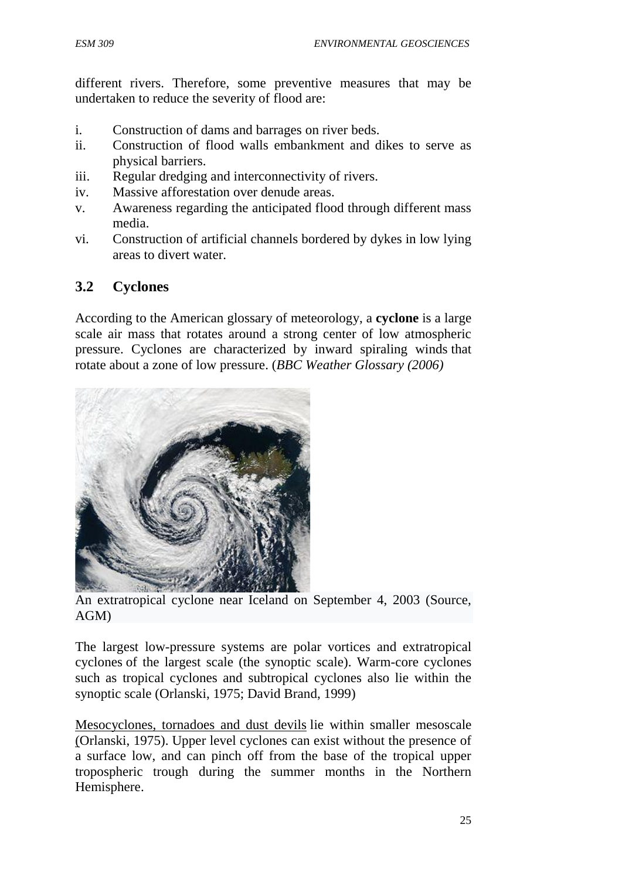different rivers. Therefore, some preventive measures that may be undertaken to reduce the severity of flood are:

- i. Construction of dams and barrages on river beds.
- ii. Construction of flood walls embankment and dikes to serve as physical barriers.
- iii. Regular dredging and interconnectivity of rivers.
- iv. Massive afforestation over denude areas.
- v. Awareness regarding the anticipated flood through different mass media.
- vi. Construction of artificial channels bordered by dykes in low lying areas to divert water.

# **3.2 Cyclones**

According to the American glossary of meteorology, a **cyclone** is a large scale air mass that rotates around a strong center of low atmospheric pressure. Cyclones are characterized by inward spiraling winds that rotate about a zone of low pressure. (*BBC Weather Glossary (2006)*



An extratropical cyclone near Iceland on September 4, 2003 (Source, AGM)

The largest low-pressure systems are polar vortices and extratropical cyclones of the largest scale (the synoptic scale). Warm-core cyclones such as tropical cyclones and subtropical cyclones also lie within the synoptic scale (Orlanski, 1975; David Brand, 1999)

Mesocyclones, tornadoes and dust devils lie within smaller mesoscale (Orlanski, 1975). Upper level cyclones can exist without the presence of a surface low, and can pinch off from the base of the tropical upper tropospheric trough during the summer months in the Northern Hemisphere.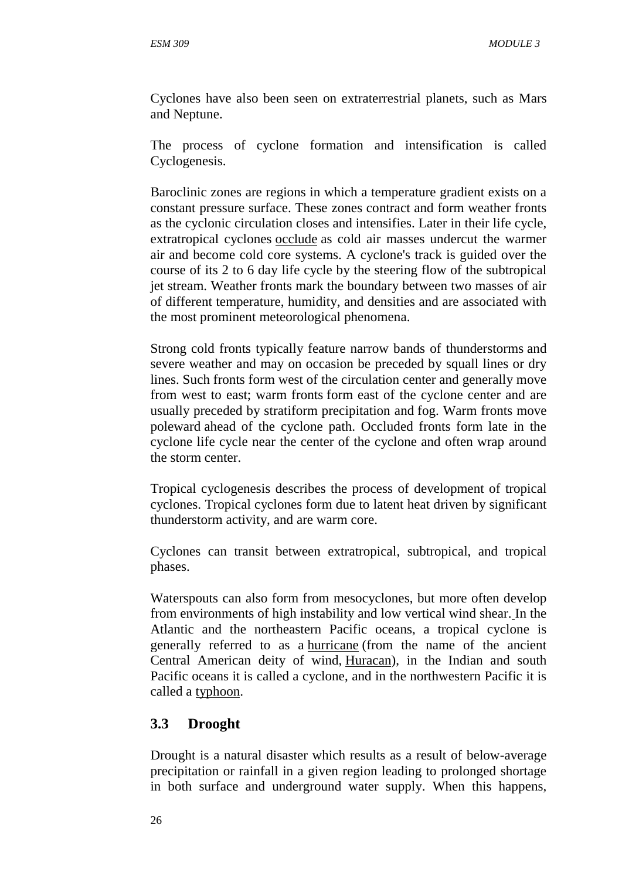Cyclones have also been seen on extraterrestrial planets, such as Mars and Neptune.

The process of cyclone formation and intensification is called Cyclogenesis.

Baroclinic zones are regions in which a temperature gradient exists on a constant pressure surface. These zones contract and form weather fronts as the cyclonic circulation closes and intensifies. Later in their life cycle, extratropical cyclones occlude as cold air masses undercut the warmer air and become cold core systems. A cyclone's track is guided over the course of its 2 to 6 day life cycle by the steering flow of the subtropical jet stream. Weather fronts mark the boundary between two masses of air of different temperature, humidity, and densities and are associated with the most prominent meteorological phenomena.

Strong cold fronts typically feature narrow bands of thunderstorms and severe weather and may on occasion be preceded by squall lines or dry lines. Such fronts form west of the circulation center and generally move from west to east; warm fronts form east of the cyclone center and are usually preceded by stratiform precipitation and fog. Warm fronts move poleward ahead of the cyclone path. Occluded fronts form late in the cyclone life cycle near the center of the cyclone and often wrap around the storm center.

Tropical cyclogenesis describes the process of development of tropical cyclones. Tropical cyclones form due to latent heat driven by significant thunderstorm activity, and are warm core.

Cyclones can transit between extratropical, subtropical, and tropical phases.

Waterspouts can also form from mesocyclones, but more often develop from environments of high instability and low vertical wind shear. In the Atlantic and the northeastern Pacific oceans, a tropical cyclone is generally referred to as a hurricane (from the name of the ancient Central American deity of wind, Huracan), in the Indian and south Pacific oceans it is called a cyclone, and in the northwestern Pacific it is called a typhoon.

# **3.3 Drooght**

Drought is a natural disaster which results as a result of below-average precipitation or rainfall in a given region leading to prolonged shortage in both surface and underground water supply. When this happens,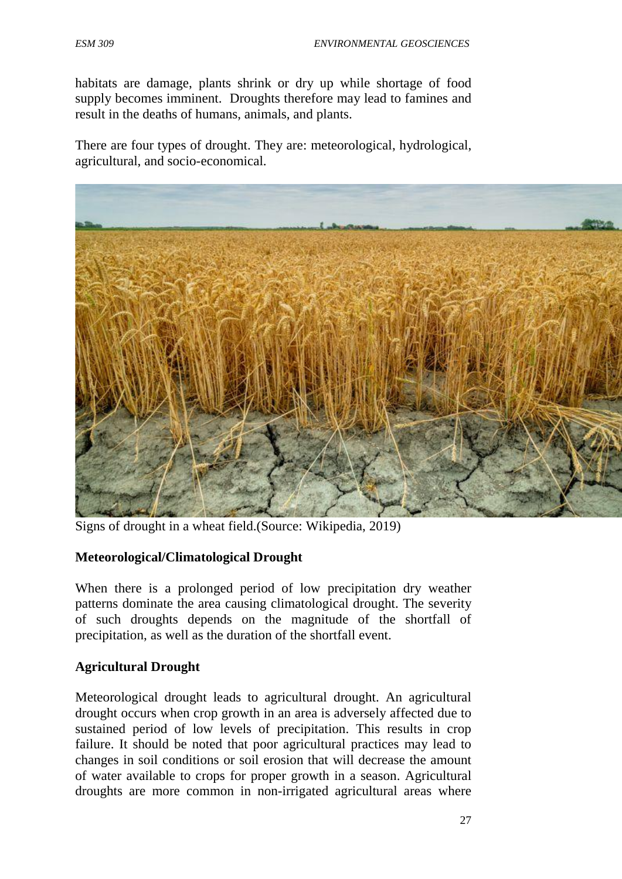habitats are damage, plants shrink or dry up while shortage of food supply becomes imminent. Droughts therefore may lead to famines and result in the deaths of humans, animals, and plants.

There are four types of drought. They are: meteorological, hydrological, agricultural, and socio-economical.



Signs of drought in a wheat field.(Source: Wikipedia, 2019)

### **Meteorological/Climatological Drought**

When there is a prolonged period of low precipitation dry weather patterns dominate the area causing climatological drought. The severity of such droughts depends on the magnitude of the shortfall of precipitation, as well as the duration of the shortfall event.

### **Agricultural Drought**

Meteorological drought leads to agricultural drought. An agricultural drought occurs when crop growth in an area is adversely affected due to sustained period of low levels of precipitation. This results in crop failure. It should be noted that poor agricultural practices may lead to changes in soil conditions or soil erosion that will decrease the amount of water available to crops for proper growth in a season. Agricultural droughts are more common in non-irrigated agricultural areas where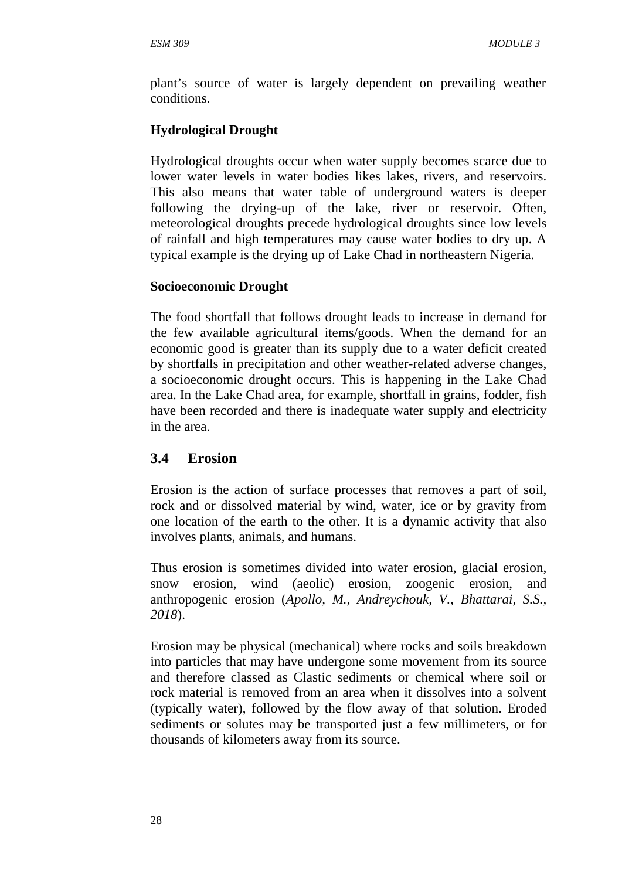plant's source of water is largely dependent on prevailing weather conditions.

# **Hydrological Drought**

Hydrological droughts occur when water supply becomes scarce due to lower water levels in water bodies likes lakes, rivers, and reservoirs. This also means that water table of underground waters is deeper following the drying-up of the lake, river or reservoir. Often, meteorological droughts precede hydrological droughts since low levels of rainfall and high temperatures may cause water bodies to dry up. A typical example is the drying up of Lake Chad in northeastern Nigeria.

# **Socioeconomic Drought**

The food shortfall that follows drought leads to increase in demand for the few available agricultural items/goods. When the demand for an economic good is greater than its supply due to a water deficit created by shortfalls in precipitation and other weather-related adverse changes, a socioeconomic drought occurs. This is happening in the Lake Chad area. In the Lake Chad area, for example, shortfall in grains, fodder, fish have been recorded and there is inadequate water supply and electricity in the area.

# **3.4 Erosion**

Erosion is the action of surface processes that removes a part of soil, rock and or dissolved material by wind, water, ice or by gravity from one location of the earth to the other. It is a dynamic activity that also involves plants, animals, and humans.

Thus erosion is sometimes divided into water erosion, glacial erosion, snow erosion, wind (aeolic) erosion, zoogenic erosion, and anthropogenic erosion (*Apollo, M., Andreychouk, V., Bhattarai, S.S., 2018*).

Erosion may be physical (mechanical) where rocks and soils breakdown into particles that may have undergone some movement from its source and therefore classed as Clastic sediments or chemical where soil or rock material is removed from an area when it dissolves into a solvent (typically water), followed by the flow away of that solution. Eroded sediments or solutes may be transported just a few millimeters, or for thousands of kilometers away from its source.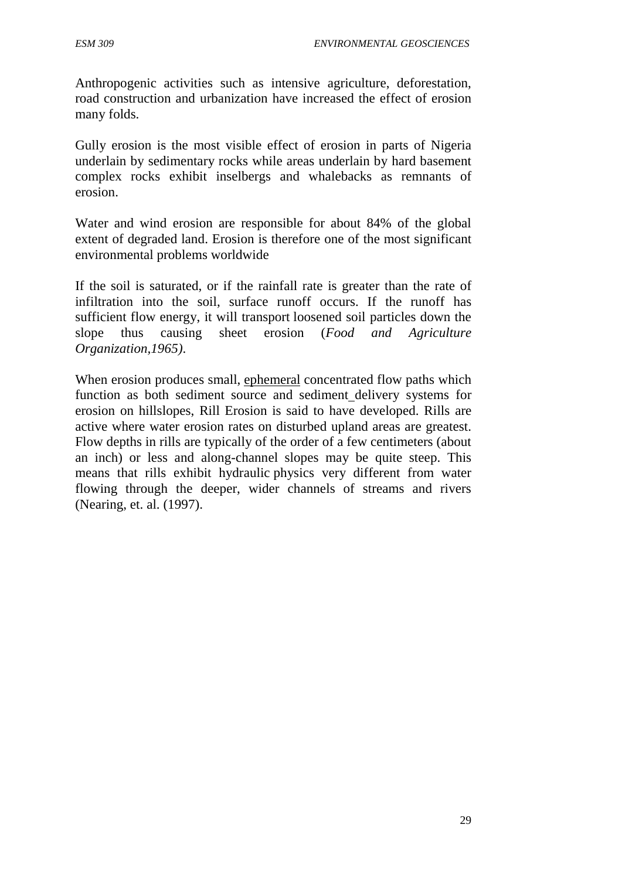Anthropogenic activities such as intensive agriculture, deforestation, road construction and urbanization have increased the effect of erosion many folds.

Gully erosion is the most visible effect of erosion in parts of Nigeria underlain by sedimentary rocks while areas underlain by hard basement complex rocks exhibit inselbergs and whalebacks as remnants of erosion.

Water and wind erosion are responsible for about 84% of the global extent of degraded land. Erosion is therefore one of the most significant environmental problems worldwide

If the soil is saturated, or if the rainfall rate is greater than the rate of infiltration into the soil, surface runoff occurs. If the runoff has sufficient flow energy, it will transport loosened soil particles down the slope thus causing sheet erosion (*Food and Agriculture Organization,1965)*.

When erosion produces small, ephemeral concentrated flow paths which function as both sediment source and sediment delivery systems for erosion on hillslopes, Rill Erosion is said to have developed. Rills are active where water erosion rates on disturbed upland areas are greatest. Flow depths in rills are typically of the order of a few centimeters (about an inch) or less and along-channel slopes may be quite steep. This means that rills exhibit hydraulic physics very different from water flowing through the deeper, wider channels of streams and rivers (Nearing, et. al. (1997).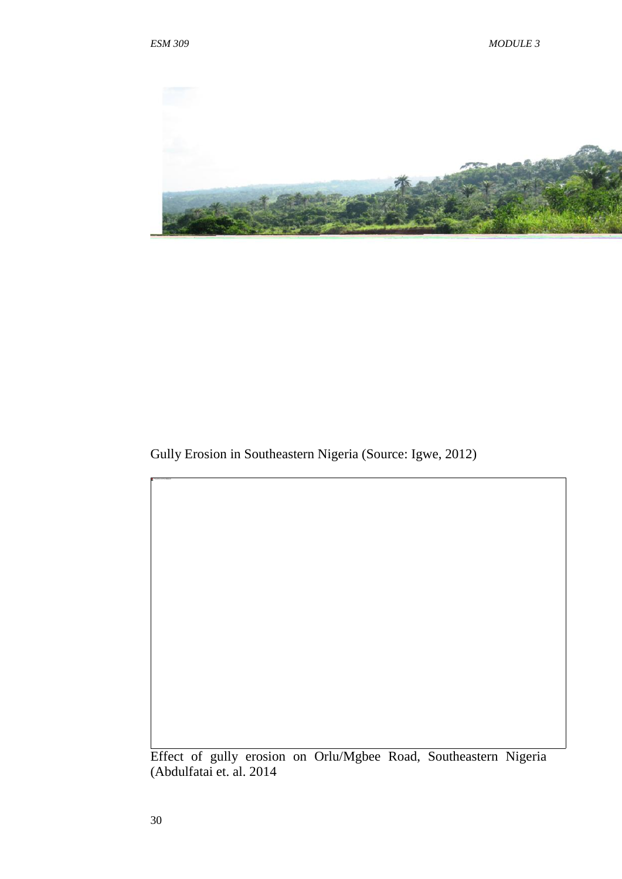

Gully Erosion in Southeastern Nigeria (Source: Igwe, 2012)

Effect of gully erosion on Orlu/Mgbee Road, Southeastern Nigeria (Abdulfatai et. al. 2014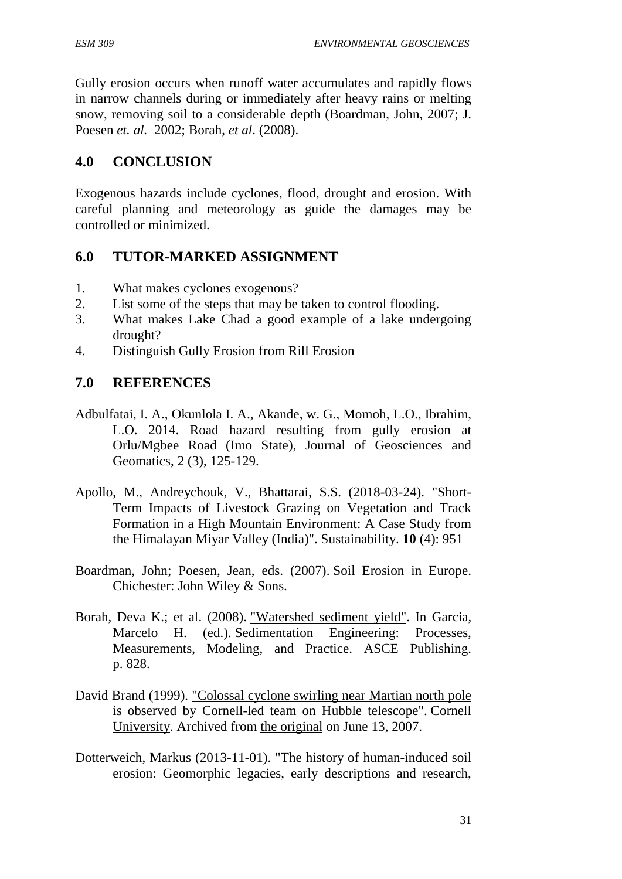Gully erosion occurs when runoff water accumulates and rapidly flows in narrow channels during or immediately after heavy rains or melting snow, removing soil to a considerable depth (Boardman, John, 2007; J. Poesen *et. al.* 2002; Borah, *et al*. (2008).

# **4.0 CONCLUSION**

Exogenous hazards include cyclones, flood, drought and erosion. With careful planning and meteorology as guide the damages may be controlled or minimized.

# **6.0 TUTOR-MARKED ASSIGNMENT**

- 1. What makes cyclones exogenous?
- 2. List some of the steps that may be taken to control flooding.
- 3. What makes Lake Chad a good example of a lake undergoing drought?
- 4. Distinguish Gully Erosion from Rill Erosion

# **7.0 REFERENCES**

- Adbulfatai, I. A., Okunlola I. A., Akande, w. G., Momoh, L.O., Ibrahim, L.O. 2014. Road hazard resulting from gully erosion at Orlu/Mgbee Road (Imo State), Journal of Geosciences and Geomatics, 2 (3), 125-129.
- Apollo, M., Andreychouk, V., Bhattarai, S.S. (2018-03-24). "Short- Term Impacts of Livestock Grazing on Vegetation and Track Formation in a High Mountain Environment: A Case Study from the Himalayan Miyar Valley (India)". Sustainability. **10** (4): 951
- Boardman, John; Poesen, Jean, eds. (2007). Soil Erosion in Europe. Chichester: John Wiley & Sons.
- Borah, Deva K.; et al. (2008). "Watershed sediment yield". In Garcia, Marcelo H. (ed.). Sedimentation Engineering: Processes, Measurements, Modeling, and Practice. ASCE Publishing. p. 828.
- David Brand (1999). "Colossal cyclone swirling near Martian north pole is observed by Cornell-led team on Hubble telescope". Cornell University. Archived from the original on June 13, 2007.
- Dotterweich, Markus (2013-11-01). "The history of human-induced soil erosion: Geomorphic legacies, early descriptions and research,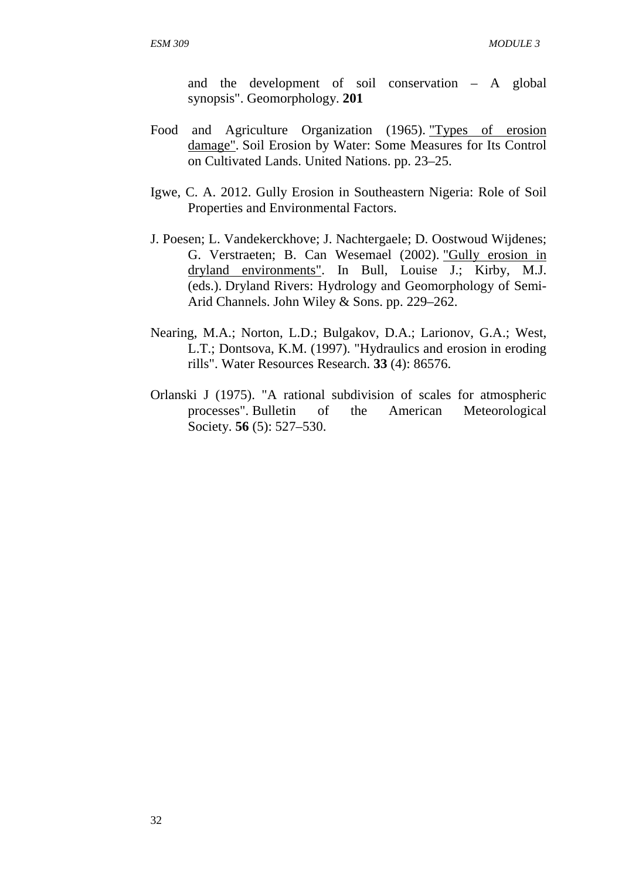and the development of soil conservation – A global synopsis". Geomorphology. **201**

- Food and Agriculture Organization (1965). "Types of erosion damage". Soil Erosion by Water: Some Measures for Its Control on Cultivated Lands. United Nations. pp. 23–25.
- Igwe, C. A. 2012. Gully Erosion in Southeastern Nigeria: Role of Soil Properties and Environmental Factors.
- J. Poesen; L. Vandekerckhove; J. Nachtergaele; D. Oostwoud Wijdenes; G. Verstraeten; B. Can Wesemael (2002). "Gully erosion in dryland environments". In Bull, Louise J.; Kirby, M.J. (eds.). Dryland Rivers: Hydrology and Geomorphology of Semi- Arid Channels. John Wiley & Sons. pp. 229–262.
- Nearing, M.A.; Norton, L.D.; Bulgakov, D.A.; Larionov, G.A.; West, L.T.; Dontsova, K.M. (1997). "Hydraulics and erosion in eroding rills". Water Resources Research. **33** (4): 86576.
- Orlanski J (1975). "A rational subdivision of scales for atmospheric processes". Bulletin of the American Meteorological Society. **56** (5): 527–530.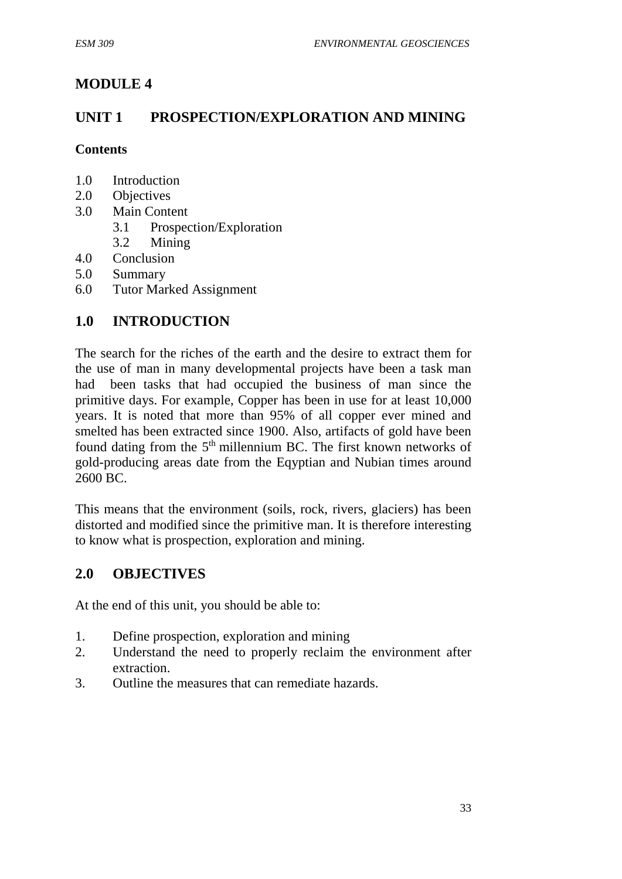# **MODULE 4**

# **UNIT 1 PROSPECTION/EXPLORATION AND MINING**

### **Contents**

- 1.0 Introduction
- 2.0 Objectives
- 3.0 Main Content
	- 3.1 Prospection/Exploration
	- 3.2 Mining
- 4.0 Conclusion
- 5.0 Summary
- 6.0 Tutor Marked Assignment

# **1.0 INTRODUCTION**

The search for the riches of the earth and the desire to extract them for the use of man in many developmental projects have been a task man had been tasks that had occupied the business of man since the primitive days. For example, Copper has been in use for at least 10,000 years. It is noted that more than 95% of all copper ever mined and smelted has been extracted since 1900. Also, artifacts of gold have been found dating from the 5th millennium BC. The first known networks of gold-producing areas date from the Eqyptian and Nubian times around 2600 BC.

This means that the environment (soils, rock, rivers, glaciers) has been distorted and modified since the primitive man. It is therefore interesting to know what is prospection, exploration and mining.

# **2.0 OBJECTIVES**

At the end of this unit, you should be able to:

- 1. Define prospection, exploration and mining
- 2. Understand the need to properly reclaim the environment after extraction.
- 3. Outline the measures that can remediate hazards.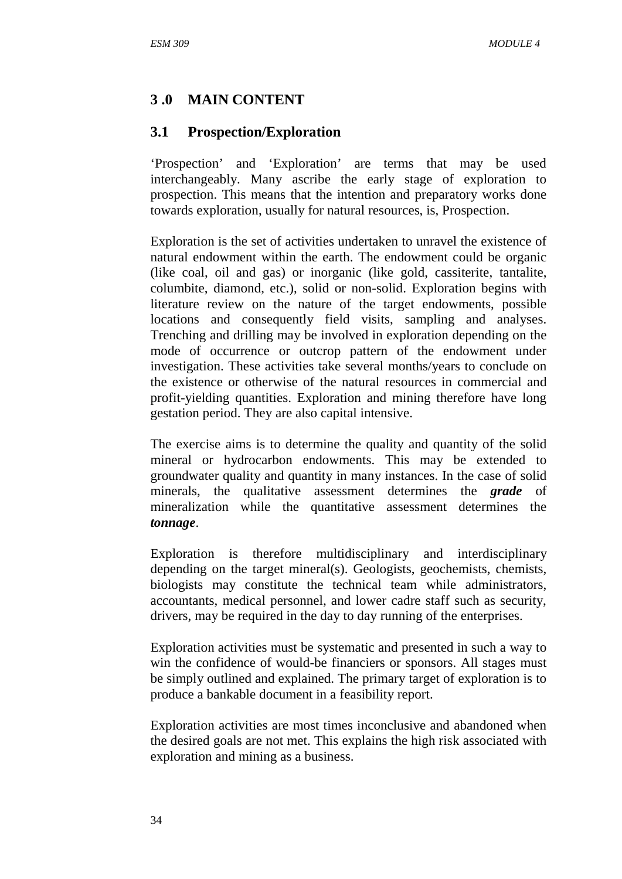# **3 .0 MAIN CONTENT**

# **3.1 Prospection/Exploration**

'Prospection' and 'Exploration' are terms that may be used interchangeably. Many ascribe the early stage of exploration to prospection. This means that the intention and preparatory works done towards exploration, usually for natural resources, is, Prospection.

Exploration is the set of activities undertaken to unravel the existence of natural endowment within the earth. The endowment could be organic (like coal, oil and gas) or inorganic (like gold, cassiterite, tantalite, columbite, diamond, etc.), solid or non-solid. Exploration begins with literature review on the nature of the target endowments, possible locations and consequently field visits, sampling and analyses. Trenching and drilling may be involved in exploration depending on the mode of occurrence or outcrop pattern of the endowment under investigation. These activities take several months/years to conclude on the existence or otherwise of the natural resources in commercial and profit-yielding quantities. Exploration and mining therefore have long gestation period. They are also capital intensive.

The exercise aims is to determine the quality and quantity of the solid mineral or hydrocarbon endowments. This may be extended to groundwater quality and quantity in many instances. In the case of solid minerals, the qualitative assessment determines the *grade* of mineralization while the quantitative assessment determines the *tonnage*.

Exploration is therefore multidisciplinary and interdisciplinary depending on the target mineral(s). Geologists, geochemists, chemists, biologists may constitute the technical team while administrators, accountants, medical personnel, and lower cadre staff such as security, drivers, may be required in the day to day running of the enterprises.

Exploration activities must be systematic and presented in such a way to win the confidence of would-be financiers or sponsors. All stages must be simply outlined and explained. The primary target of exploration is to produce a bankable document in a feasibility report.

Exploration activities are most times inconclusive and abandoned when the desired goals are not met. This explains the high risk associated with exploration and mining as a business.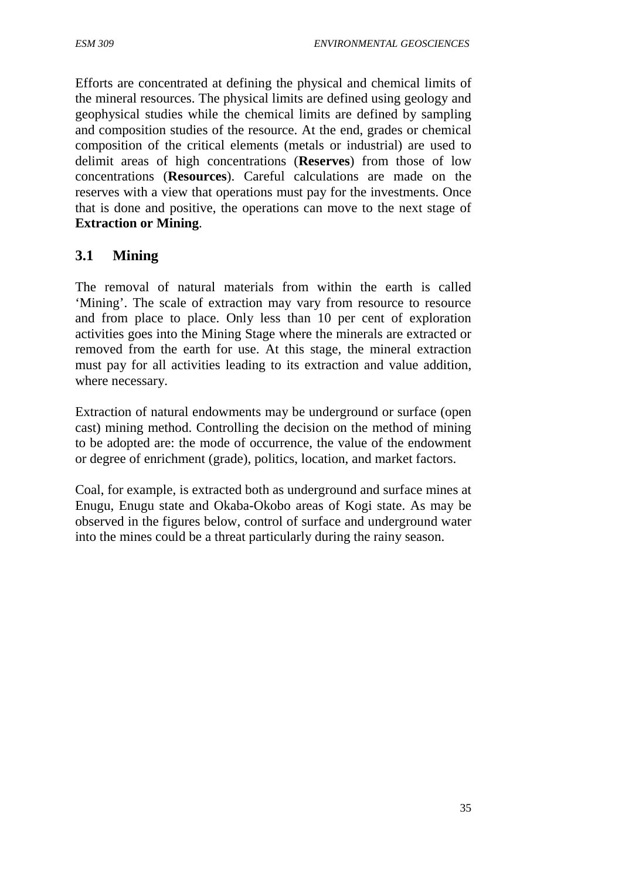Efforts are concentrated at defining the physical and chemical limits of the mineral resources. The physical limits are defined using geology and geophysical studies while the chemical limits are defined by sampling and composition studies of the resource. At the end, grades or chemical composition of the critical elements (metals or industrial) are used to delimit areas of high concentrations (**Reserves**) from those of low concentrations (**Resources**). Careful calculations are made on the reserves with a view that operations must pay for the investments. Once that is done and positive, the operations can move to the next stage of **Extraction or Mining**.

# **3.1 Mining**

The removal of natural materials from within the earth is called 'Mining'. The scale of extraction may vary from resource to resource and from place to place. Only less than 10 per cent of exploration activities goes into the Mining Stage where the minerals are extracted or removed from the earth for use. At this stage, the mineral extraction must pay for all activities leading to its extraction and value addition, where necessary.

Extraction of natural endowments may be underground or surface (open cast) mining method. Controlling the decision on the method of mining to be adopted are: the mode of occurrence, the value of the endowment or degree of enrichment (grade), politics, location, and market factors.

Coal, for example, is extracted both as underground and surface mines at Enugu, Enugu state and Okaba-Okobo areas of Kogi state. As may be observed in the figures below, control of surface and underground water into the mines could be a threat particularly during the rainy season.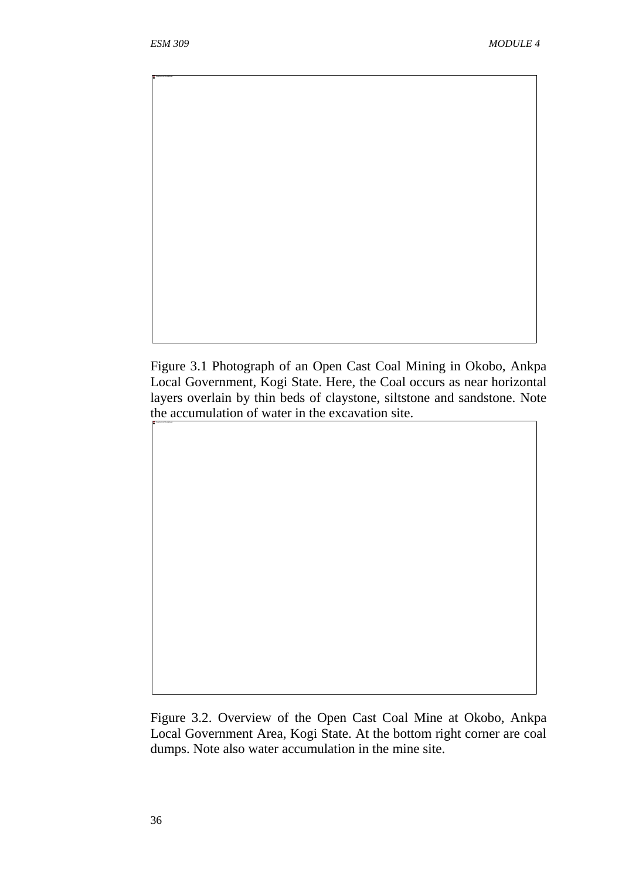The picture can't be displayed.

Figure 3.1 Photograph of an Open Cast Coal Mining in Okobo, Ankpa Local Government, Kogi State. Here, the Coal occurs as near horizontal layers overlain by thin beds of claystone, siltstone and sandstone. Note the accumulation of water in the excavation site.

Figure 3.2. Overview of the Open Cast Coal Mine at Okobo, Ankpa Local Government Area, Kogi State. At the bottom right corner are coal dumps. Note also water accumulation in the mine site.